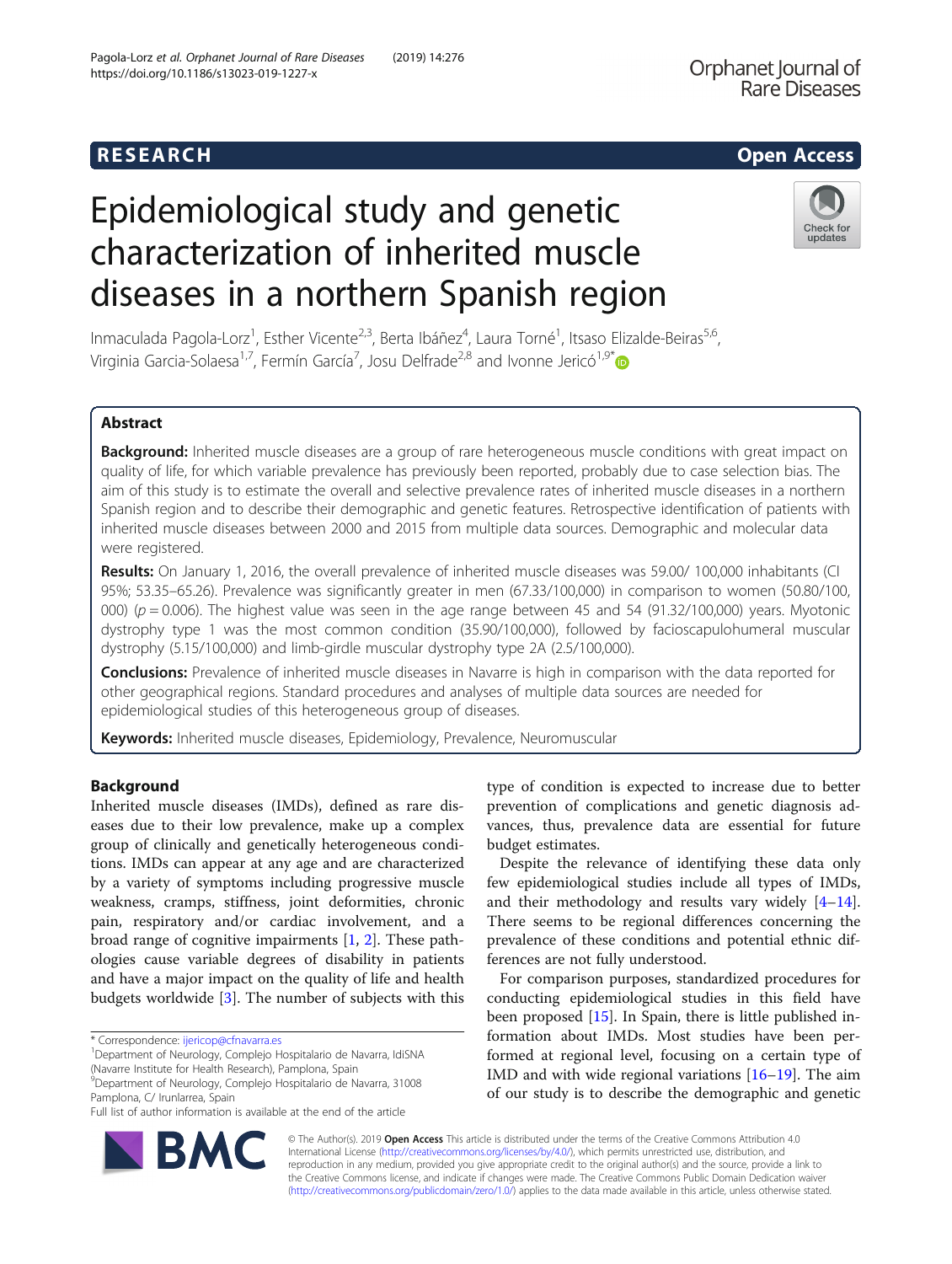**Rare Diseases** 

Orphanet Journal of

# Epidemiological study and genetic characterization of inherited muscle diseases in a northern Spanish region



Inmaculada Pagola-Lorz<sup>1</sup>, Esther Vicente<sup>2,3</sup>, Berta Ibáñez<sup>4</sup>, Laura Torné<sup>1</sup>, Itsaso Elizalde-Beiras<sup>5,6</sup>, Virginia Garcia-Solaesa<sup>1,7</sup>, Fermín García<sup>7</sup>, Josu Delfrade<sup>2,8</sup> and Ivonne Jericó<sup>1,9\*</sup>

# Abstract

Background: Inherited muscle diseases are a group of rare heterogeneous muscle conditions with great impact on quality of life, for which variable prevalence has previously been reported, probably due to case selection bias. The aim of this study is to estimate the overall and selective prevalence rates of inherited muscle diseases in a northern Spanish region and to describe their demographic and genetic features. Retrospective identification of patients with inherited muscle diseases between 2000 and 2015 from multiple data sources. Demographic and molecular data were registered.

Results: On January 1, 2016, the overall prevalence of inherited muscle diseases was 59.00/100,000 inhabitants (CI 95%; 53.35–65.26). Prevalence was significantly greater in men (67.33/100,000) in comparison to women (50.80/100, 000) ( $p = 0.006$ ). The highest value was seen in the age range between 45 and 54 (91.32/100,000) years. Myotonic dystrophy type 1 was the most common condition (35.90/100,000), followed by facioscapulohumeral muscular dystrophy (5.15/100,000) and limb-girdle muscular dystrophy type 2A (2.5/100,000).

Conclusions: Prevalence of inherited muscle diseases in Navarre is high in comparison with the data reported for other geographical regions. Standard procedures and analyses of multiple data sources are needed for epidemiological studies of this heterogeneous group of diseases.

Keywords: Inherited muscle diseases, Epidemiology, Prevalence, Neuromuscular

# Background

Inherited muscle diseases (IMDs), defined as rare diseases due to their low prevalence, make up a complex group of clinically and genetically heterogeneous conditions. IMDs can appear at any age and are characterized by a variety of symptoms including progressive muscle weakness, cramps, stiffness, joint deformities, chronic pain, respiratory and/or cardiac involvement, and a broad range of cognitive impairments [[1,](#page-11-0) [2\]](#page-11-0). These pathologies cause variable degrees of disability in patients and have a major impact on the quality of life and health budgets worldwide [\[3](#page-11-0)]. The number of subjects with this

\* Correspondence: [ijericop@cfnavarra.es](mailto:ijericop@cfnavarra.es) <sup>1</sup>

Department of Neurology, Complejo Hospitalario de Navarra, IdiSNA (Navarre Institute for Health Research), Pamplona, Spain

9 Department of Neurology, Complejo Hospitalario de Navarra, 31008 Pamplona, C/ Irunlarrea, Spain

Full list of author information is available at the end of the article



Despite the relevance of identifying these data only few epidemiological studies include all types of IMDs, and their methodology and results vary widely  $[4-14]$  $[4-14]$  $[4-14]$  $[4-14]$  $[4-14]$ . There seems to be regional differences concerning the prevalence of these conditions and potential ethnic differences are not fully understood.

For comparison purposes, standardized procedures for conducting epidemiological studies in this field have been proposed [\[15](#page-11-0)]. In Spain, there is little published information about IMDs. Most studies have been performed at regional level, focusing on a certain type of IMD and with wide regional variations [\[16](#page-11-0)–[19\]](#page-11-0). The aim of our study is to describe the demographic and genetic



© The Author(s). 2019 **Open Access** This article is distributed under the terms of the Creative Commons Attribution 4.0 International License [\(http://creativecommons.org/licenses/by/4.0/](http://creativecommons.org/licenses/by/4.0/)), which permits unrestricted use, distribution, and reproduction in any medium, provided you give appropriate credit to the original author(s) and the source, provide a link to the Creative Commons license, and indicate if changes were made. The Creative Commons Public Domain Dedication waiver [\(http://creativecommons.org/publicdomain/zero/1.0/](http://creativecommons.org/publicdomain/zero/1.0/)) applies to the data made available in this article, unless otherwise stated.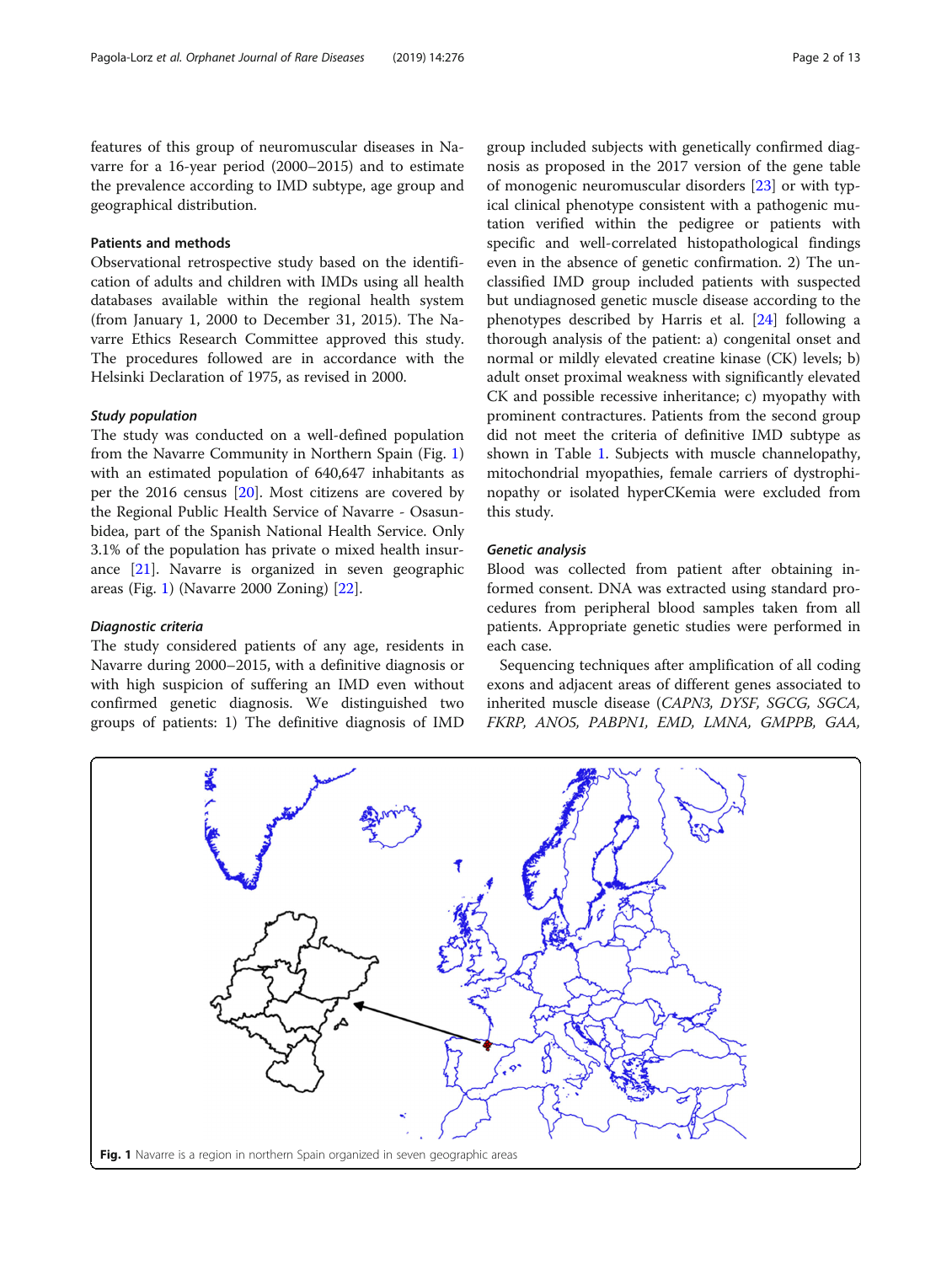features of this group of neuromuscular diseases in Navarre for a 16-year period (2000–2015) and to estimate the prevalence according to IMD subtype, age group and geographical distribution.

# Patients and methods

Observational retrospective study based on the identification of adults and children with IMDs using all health databases available within the regional health system (from January 1, 2000 to December 31, 2015). The Navarre Ethics Research Committee approved this study. The procedures followed are in accordance with the Helsinki Declaration of 1975, as revised in 2000.

## Study population

The study was conducted on a well-defined population from the Navarre Community in Northern Spain (Fig. 1) with an estimated population of 640,647 inhabitants as per the 2016 census [\[20](#page-11-0)]. Most citizens are covered by the Regional Public Health Service of Navarre - Osasunbidea, part of the Spanish National Health Service. Only 3.1% of the population has private o mixed health insurance [[21\]](#page-11-0). Navarre is organized in seven geographic areas (Fig. 1) (Navarre 2000 Zoning) [[22\]](#page-11-0).

# Diagnostic criteria

The study considered patients of any age, residents in Navarre during 2000–2015, with a definitive diagnosis or with high suspicion of suffering an IMD even without confirmed genetic diagnosis. We distinguished two groups of patients: 1) The definitive diagnosis of IMD group included subjects with genetically confirmed diagnosis as proposed in the 2017 version of the gene table of monogenic neuromuscular disorders [[23\]](#page-11-0) or with typical clinical phenotype consistent with a pathogenic mutation verified within the pedigree or patients with specific and well-correlated histopathological findings even in the absence of genetic confirmation. 2) The unclassified IMD group included patients with suspected but undiagnosed genetic muscle disease according to the phenotypes described by Harris et al. [[24\]](#page-11-0) following a thorough analysis of the patient: a) congenital onset and normal or mildly elevated creatine kinase (CK) levels; b) adult onset proximal weakness with significantly elevated CK and possible recessive inheritance; c) myopathy with prominent contractures. Patients from the second group did not meet the criteria of definitive IMD subtype as shown in Table [1.](#page-2-0) Subjects with muscle channelopathy, mitochondrial myopathies, female carriers of dystrophinopathy or isolated hyperCKemia were excluded from this study.

# Genetic analysis

Blood was collected from patient after obtaining informed consent. DNA was extracted using standard procedures from peripheral blood samples taken from all patients. Appropriate genetic studies were performed in each case.

Sequencing techniques after amplification of all coding exons and adjacent areas of different genes associated to inherited muscle disease (CAPN3, DYSF, SGCG, SGCA, FKRP, ANO5, PABPN1, EMD, LMNA, GMPPB, GAA,

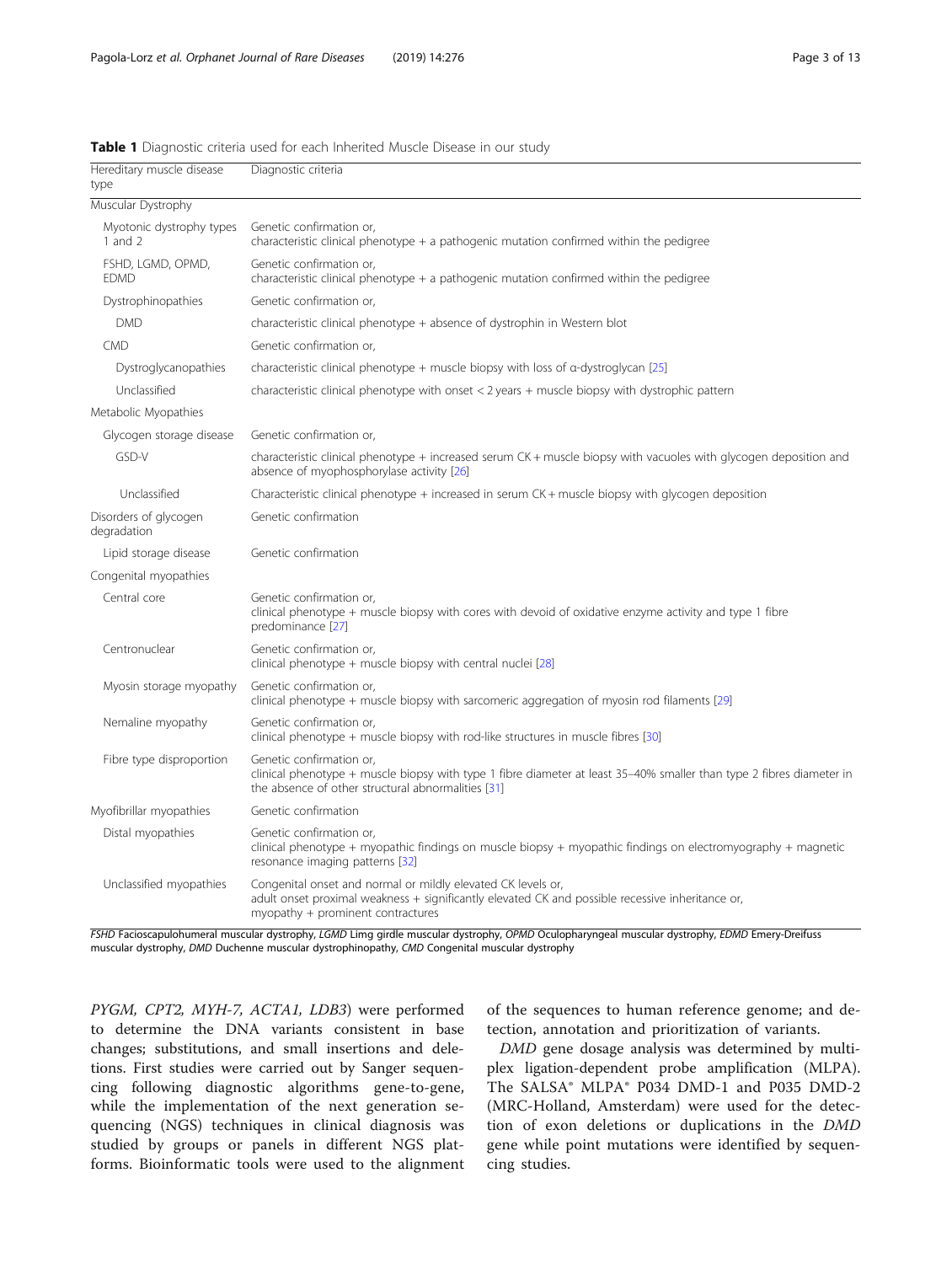| Hereditary muscle disease<br>type     | Diagnostic criteria                                                                                                                                                                                    |
|---------------------------------------|--------------------------------------------------------------------------------------------------------------------------------------------------------------------------------------------------------|
| Muscular Dystrophy                    |                                                                                                                                                                                                        |
| Myotonic dystrophy types<br>1 and $2$ | Genetic confirmation or,<br>characteristic clinical phenotype + a pathogenic mutation confirmed within the pedigree                                                                                    |
| FSHD, LGMD, OPMD,<br><b>FDMD</b>      | Genetic confirmation or,<br>characteristic clinical phenotype $+$ a pathogenic mutation confirmed within the pedigree                                                                                  |
| Dystrophinopathies                    | Genetic confirmation or,                                                                                                                                                                               |
| <b>DMD</b>                            | characteristic clinical phenotype + absence of dystrophin in Western blot                                                                                                                              |
| <b>CMD</b>                            | Genetic confirmation or.                                                                                                                                                                               |
| Dystroglycanopathies                  | characteristic clinical phenotype + muscle biopsy with loss of $\alpha$ -dystroglycan [25]                                                                                                             |
| Unclassified                          | characteristic clinical phenotype with onset $<$ 2 years + muscle biopsy with dystrophic pattern                                                                                                       |
| Metabolic Myopathies                  |                                                                                                                                                                                                        |
| Glycogen storage disease              | Genetic confirmation or.                                                                                                                                                                               |
| GSD-V                                 | characteristic clinical phenotype $+$ increased serum CK $+$ muscle biopsy with vacuoles with glycogen deposition and<br>absence of myophosphorylase activity [26]                                     |
| Unclassified                          | Characteristic clinical phenotype $+$ increased in serum CK $+$ muscle biopsy with glycogen deposition                                                                                                 |
| Disorders of glycogen<br>degradation  | Genetic confirmation                                                                                                                                                                                   |
| Lipid storage disease                 | Genetic confirmation                                                                                                                                                                                   |
| Congenital myopathies                 |                                                                                                                                                                                                        |
| Central core                          | Genetic confirmation or.<br>clinical phenotype + muscle biopsy with cores with devoid of oxidative enzyme activity and type 1 fibre<br>predominance [27]                                               |
| Centronuclear                         | Genetic confirmation or,<br>clinical phenotype + muscle biopsy with central nuclei [28]                                                                                                                |
| Myosin storage myopathy               | Genetic confirmation or,<br>clinical phenotype + muscle biopsy with sarcomeric aggregation of myosin rod filaments [29]                                                                                |
| Nemaline myopathy                     | Genetic confirmation or,<br>clinical phenotype + muscle biopsy with rod-like structures in muscle fibres [30]                                                                                          |
| Fibre type disproportion              | Genetic confirmation or,<br>clinical phenotype + muscle biopsy with type 1 fibre diameter at least 35–40% smaller than type 2 fibres diameter in<br>the absence of other structural abnormalities [31] |
| Myofibrillar myopathies               | Genetic confirmation                                                                                                                                                                                   |
| Distal myopathies                     | Genetic confirmation or,<br>clinical phenotype + myopathic findings on muscle biopsy + myopathic findings on electromyography + magnetic<br>resonance imaging patterns [32]                            |
| Unclassified myopathies               | Congenital onset and normal or mildly elevated CK levels or,<br>adult onset proximal weakness + significantly elevated CK and possible recessive inheritance or,<br>myopathy + prominent contractures  |

<span id="page-2-0"></span>Table 1 Diagnostic criteria used for each Inherited Muscle Disease in our study

FSHD Facioscapulohumeral muscular dystrophy, LGMD Limg girdle muscular dystrophy, OPMD Oculopharyngeal muscular dystrophy, EDMD Emery-Dreifuss muscular dystrophy, DMD Duchenne muscular dystrophinopathy, CMD Congenital muscular dystrophy

PYGM, CPT2, MYH-7, ACTA1, LDB3) were performed to determine the DNA variants consistent in base changes; substitutions, and small insertions and deletions. First studies were carried out by Sanger sequencing following diagnostic algorithms gene-to-gene, while the implementation of the next generation sequencing (NGS) techniques in clinical diagnosis was studied by groups or panels in different NGS platforms. Bioinformatic tools were used to the alignment of the sequences to human reference genome; and detection, annotation and prioritization of variants.

DMD gene dosage analysis was determined by multiplex ligation-dependent probe amplification (MLPA). The SALSA® MLPA® P034 DMD-1 and P035 DMD-2 (MRC-Holland, Amsterdam) were used for the detection of exon deletions or duplications in the DMD gene while point mutations were identified by sequencing studies.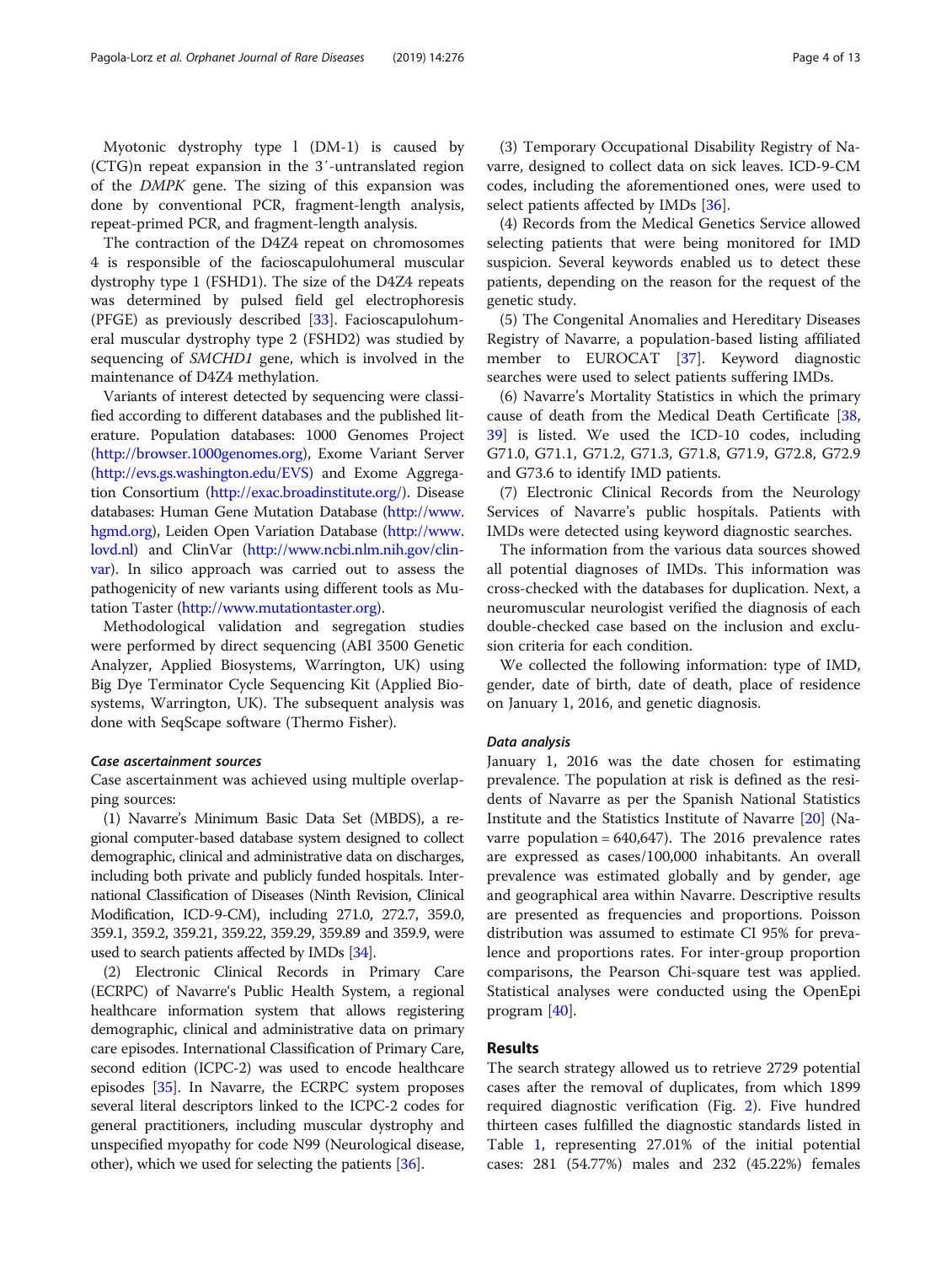Myotonic dystrophy type l (DM-1) is caused by (CTG)n repeat expansion in the 3′-untranslated region of the DMPK gene. The sizing of this expansion was done by conventional PCR, fragment-length analysis, repeat-primed PCR, and fragment-length analysis.

The contraction of the D4Z4 repeat on chromosomes 4 is responsible of the facioscapulohumeral muscular dystrophy type 1 (FSHD1). The size of the D4Z4 repeats was determined by pulsed field gel electrophoresis (PFGE) as previously described [\[33\]](#page-11-0). Facioscapulohumeral muscular dystrophy type 2 (FSHD2) was studied by sequencing of SMCHD1 gene, which is involved in the maintenance of D4Z4 methylation.

Variants of interest detected by sequencing were classified according to different databases and the published literature. Population databases: 1000 Genomes Project (<http://browser.1000genomes.org>), Exome Variant Server (<http://evs.gs.washington.edu/EVS>) and Exome Aggregation Consortium (<http://exac.broadinstitute.org/>). Disease databases: Human Gene Mutation Database ([http://www.](http://www.hgmd.org) [hgmd.org](http://www.hgmd.org)), Leiden Open Variation Database ([http://www.](http://www.lovd.nl) [lovd.nl\)](http://www.lovd.nl) and ClinVar ([http://www.ncbi.nlm.nih.gov/clin](http://www.ncbi.nlm.nih.gov/clinvar)[var\)](http://www.ncbi.nlm.nih.gov/clinvar). In silico approach was carried out to assess the pathogenicity of new variants using different tools as Mutation Taster ([http://www.mutationtaster.org\)](http://www.mutationtaster.org).

Methodological validation and segregation studies were performed by direct sequencing (ABI 3500 Genetic Analyzer, Applied Biosystems, Warrington, UK) using Big Dye Terminator Cycle Sequencing Kit (Applied Biosystems, Warrington, UK). The subsequent analysis was done with SeqScape software (Thermo Fisher).

## Case ascertainment sources

Case ascertainment was achieved using multiple overlapping sources:

(1) Navarre's Minimum Basic Data Set (MBDS), a regional computer-based database system designed to collect demographic, clinical and administrative data on discharges, including both private and publicly funded hospitals. International Classification of Diseases (Ninth Revision, Clinical Modification, ICD-9-CM), including 271.0, 272.7, 359.0, 359.1, 359.2, 359.21, 359.22, 359.29, 359.89 and 359.9, were used to search patients affected by IMDs [\[34](#page-11-0)].

(2) Electronic Clinical Records in Primary Care (ECRPC) of Navarre's Public Health System, a regional healthcare information system that allows registering demographic, clinical and administrative data on primary care episodes. International Classification of Primary Care, second edition (ICPC-2) was used to encode healthcare episodes [\[35](#page-11-0)]. In Navarre, the ECRPC system proposes several literal descriptors linked to the ICPC-2 codes for general practitioners, including muscular dystrophy and unspecified myopathy for code N99 (Neurological disease, other), which we used for selecting the patients [[36](#page-11-0)].

(3) Temporary Occupational Disability Registry of Navarre, designed to collect data on sick leaves. ICD-9-CM codes, including the aforementioned ones, were used to select patients affected by IMDs [[36\]](#page-11-0).

(4) Records from the Medical Genetics Service allowed selecting patients that were being monitored for IMD suspicion. Several keywords enabled us to detect these patients, depending on the reason for the request of the genetic study.

(5) The Congenital Anomalies and Hereditary Diseases Registry of Navarre, a population-based listing affiliated member to EUROCAT [\[37](#page-11-0)]. Keyword diagnostic searches were used to select patients suffering IMDs.

(6) Navarre's Mortality Statistics in which the primary cause of death from the Medical Death Certificate [[38](#page-11-0), [39\]](#page-11-0) is listed. We used the ICD-10 codes, including G71.0, G71.1, G71.2, G71.3, G71.8, G71.9, G72.8, G72.9 and G73.6 to identify IMD patients.

(7) Electronic Clinical Records from the Neurology Services of Navarre's public hospitals. Patients with IMDs were detected using keyword diagnostic searches.

The information from the various data sources showed all potential diagnoses of IMDs. This information was cross-checked with the databases for duplication. Next, a neuromuscular neurologist verified the diagnosis of each double-checked case based on the inclusion and exclusion criteria for each condition.

We collected the following information: type of IMD, gender, date of birth, date of death, place of residence on January 1, 2016, and genetic diagnosis.

## Data analysis

January 1, 2016 was the date chosen for estimating prevalence. The population at risk is defined as the residents of Navarre as per the Spanish National Statistics Institute and the Statistics Institute of Navarre [[20\]](#page-11-0) (Navarre population =  $640,647$ ). The 2016 prevalence rates are expressed as cases/100,000 inhabitants. An overall prevalence was estimated globally and by gender, age and geographical area within Navarre. Descriptive results are presented as frequencies and proportions. Poisson distribution was assumed to estimate CI 95% for prevalence and proportions rates. For inter-group proportion comparisons, the Pearson Chi-square test was applied. Statistical analyses were conducted using the OpenEpi program [[40\]](#page-11-0).

# Results

The search strategy allowed us to retrieve 2729 potential cases after the removal of duplicates, from which 1899 required diagnostic verification (Fig. [2](#page-4-0)). Five hundred thirteen cases fulfilled the diagnostic standards listed in Table [1,](#page-2-0) representing 27.01% of the initial potential cases: 281 (54.77%) males and 232 (45.22%) females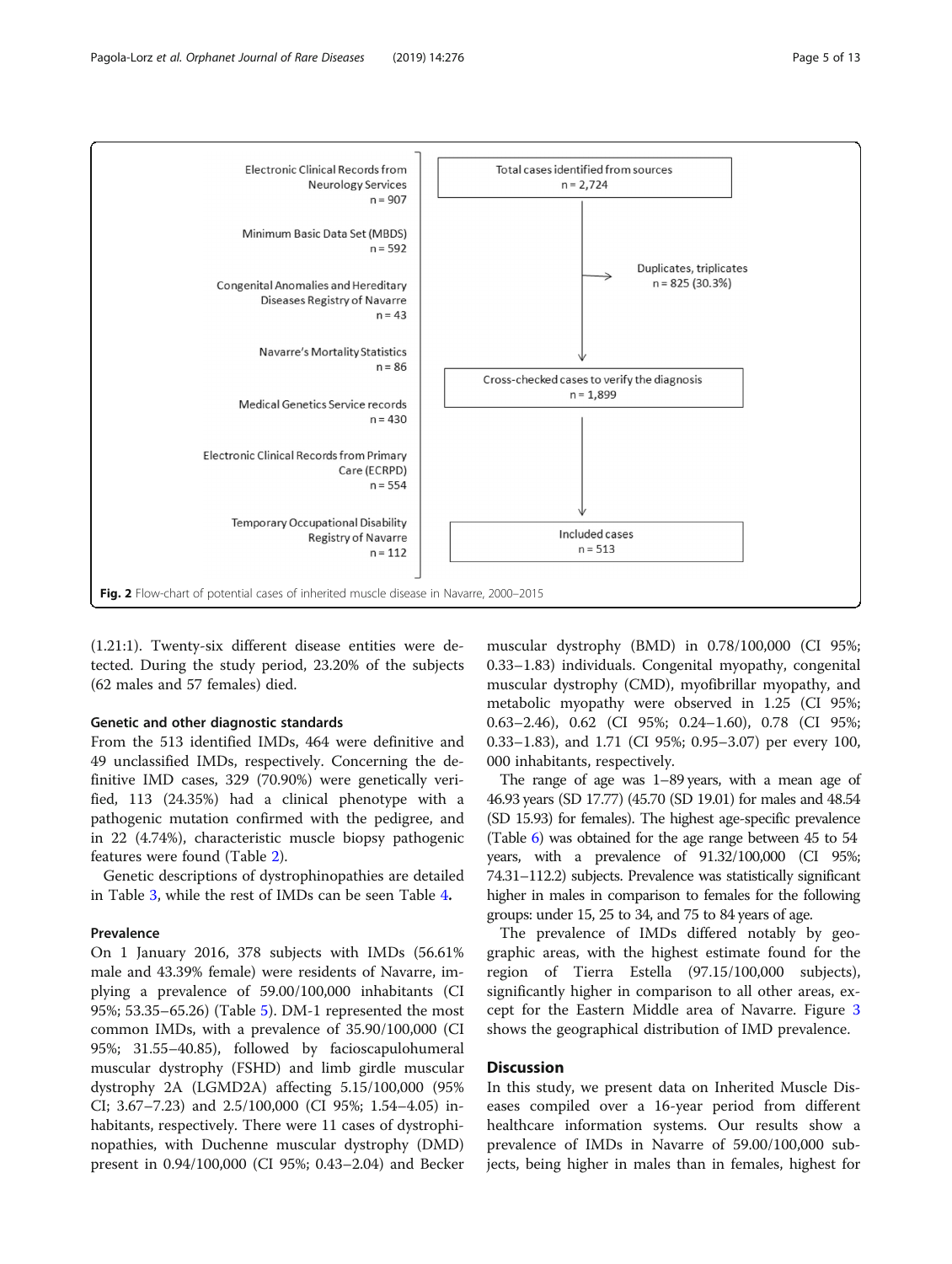<span id="page-4-0"></span>

(1.21:1). Twenty-six different disease entities were detected. During the study period, 23.20% of the subjects (62 males and 57 females) died.

# Genetic and other diagnostic standards

From the 513 identified IMDs, 464 were definitive and 49 unclassified IMDs, respectively. Concerning the definitive IMD cases, 329 (70.90%) were genetically verified, 113 (24.35%) had a clinical phenotype with a pathogenic mutation confirmed with the pedigree, and in 22 (4.74%), characteristic muscle biopsy pathogenic features were found (Table [2\)](#page-5-0).

Genetic descriptions of dystrophinopathies are detailed in Table [3](#page-6-0), while the rest of IMDs can be seen Table [4](#page-7-0).

# Prevalence

On 1 January 2016, 378 subjects with IMDs (56.61% male and 43.39% female) were residents of Navarre, implying a prevalence of 59.00/100,000 inhabitants (CI 95%; 53.35–65.26) (Table [5\)](#page-8-0). DM-1 represented the most common IMDs, with a prevalence of 35.90/100,000 (CI 95%; 31.55–40.85), followed by facioscapulohumeral muscular dystrophy (FSHD) and limb girdle muscular dystrophy 2A (LGMD2A) affecting 5.15/100,000 (95% CI; 3.67–7.23) and 2.5/100,000 (CI 95%; 1.54–4.05) inhabitants, respectively. There were 11 cases of dystrophinopathies, with Duchenne muscular dystrophy (DMD) present in 0.94/100,000 (CI 95%; 0.43–2.04) and Becker

muscular dystrophy (BMD) in 0.78/100,000 (CI 95%; 0.33–1.83) individuals. Congenital myopathy, congenital muscular dystrophy (CMD), myofibrillar myopathy, and metabolic myopathy were observed in 1.25 (CI 95%; 0.63–2.46), 0.62 (CI 95%; 0.24–1.60), 0.78 (CI 95%; 0.33–1.83), and 1.71 (CI 95%; 0.95–3.07) per every 100, 000 inhabitants, respectively.

The range of age was 1–89 years, with a mean age of 46.93 years (SD 17.77) (45.70 (SD 19.01) for males and 48.54 (SD 15.93) for females). The highest age-specific prevalence (Table [6](#page-9-0)) was obtained for the age range between 45 to 54 years, with a prevalence of 91.32/100,000 (CI 95%; 74.31–112.2) subjects. Prevalence was statistically significant higher in males in comparison to females for the following groups: under 15, 25 to 34, and 75 to 84 years of age.

The prevalence of IMDs differed notably by geographic areas, with the highest estimate found for the region of Tierra Estella (97.15/100,000 subjects), significantly higher in comparison to all other areas, except for the Eastern Middle area of Navarre. Figure [3](#page-9-0) shows the geographical distribution of IMD prevalence.

# **Discussion**

In this study, we present data on Inherited Muscle Diseases compiled over a 16-year period from different healthcare information systems. Our results show a prevalence of IMDs in Navarre of 59.00/100,000 subjects, being higher in males than in females, highest for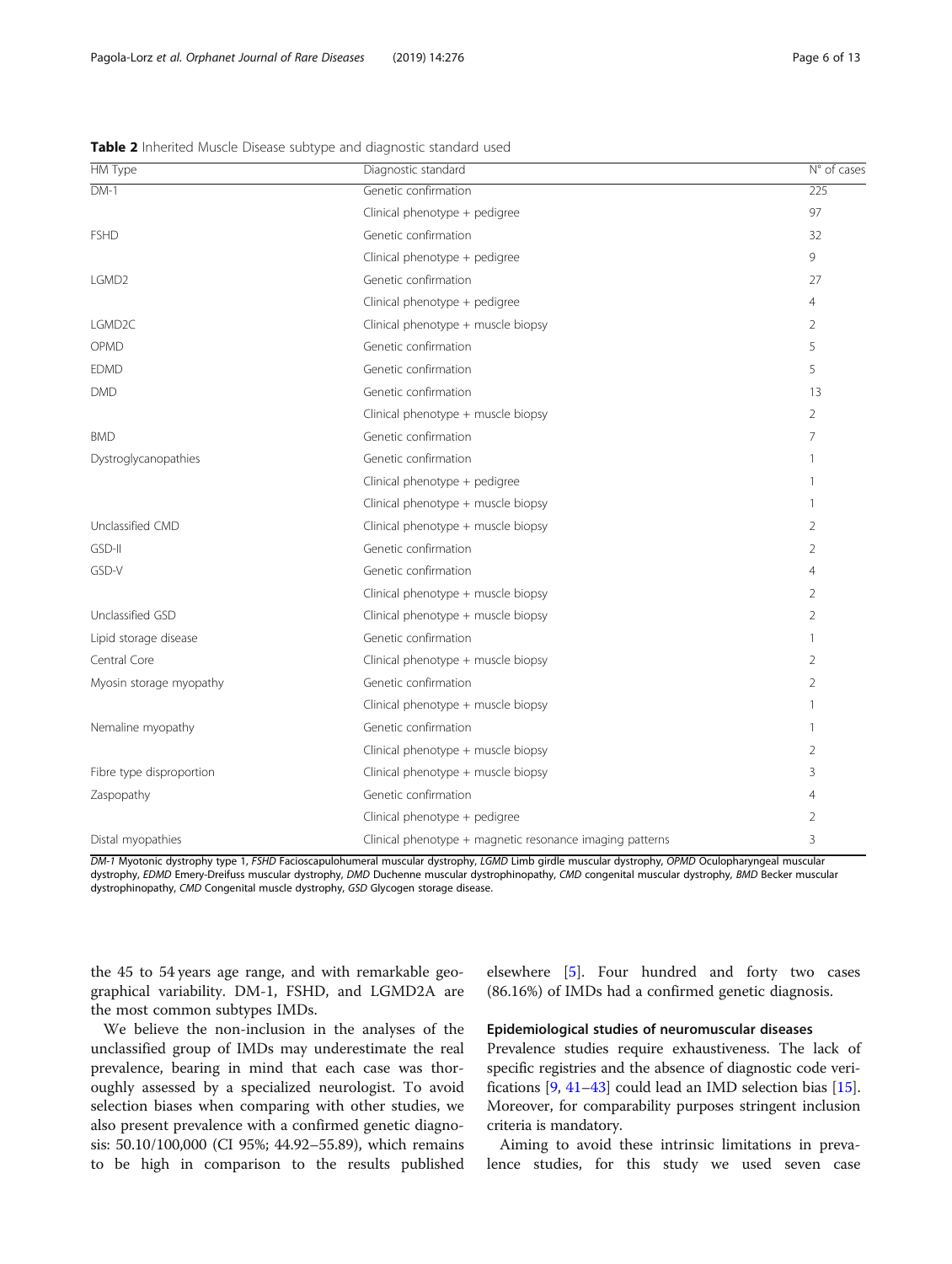<span id="page-5-0"></span>

| <b>HM Type</b>           | Diagnostic standard                                      | $N°$ of cases  |
|--------------------------|----------------------------------------------------------|----------------|
| $DM-1$                   | Genetic confirmation                                     | 225            |
|                          | Clinical phenotype + pedigree                            | 97             |
| <b>FSHD</b>              | Genetic confirmation                                     | 32             |
|                          | Clinical phenotype + pedigree                            | 9              |
| LGMD <sub>2</sub>        | Genetic confirmation                                     | 27             |
|                          | Clinical phenotype + pedigree                            | $\overline{4}$ |
| LGMD <sub>2C</sub>       | Clinical phenotype + muscle biopsy                       | 2              |
| OPMD                     | Genetic confirmation                                     | 5              |
| <b>EDMD</b>              | Genetic confirmation                                     | 5              |
| <b>DMD</b>               | Genetic confirmation                                     | 13             |
|                          | Clinical phenotype + muscle biopsy                       | $\overline{2}$ |
| <b>BMD</b>               | Genetic confirmation                                     | $\overline{7}$ |
| Dystroglycanopathies     | Genetic confirmation                                     | 1              |
|                          | Clinical phenotype + pedigree                            | 1              |
|                          | Clinical phenotype + muscle biopsy                       | 1              |
| Unclassified CMD         | Clinical phenotype + muscle biopsy                       | $\overline{2}$ |
| GSD-II                   | Genetic confirmation                                     | $\overline{2}$ |
| GSD-V                    | Genetic confirmation                                     | 4              |
|                          | Clinical phenotype + muscle biopsy                       | 2              |
| Unclassified GSD         | Clinical phenotype + muscle biopsy                       | 2              |
| Lipid storage disease    | Genetic confirmation                                     | 1              |
| Central Core             | Clinical phenotype + muscle biopsy                       | $\overline{2}$ |
| Myosin storage myopathy  | Genetic confirmation                                     | $\overline{2}$ |
|                          | Clinical phenotype + muscle biopsy                       | 1              |
| Nemaline myopathy        | Genetic confirmation                                     | 1              |
|                          | Clinical phenotype + muscle biopsy                       | $\overline{2}$ |
| Fibre type disproportion | Clinical phenotype + muscle biopsy                       | 3              |
| Zaspopathy               | Genetic confirmation                                     | 4              |
|                          | Clinical phenotype + pedigree                            | $\overline{2}$ |
| Distal myopathies        | Clinical phenotype + magnetic resonance imaging patterns | 3              |

DM-1 Myotonic dystrophy type 1, FSHD Facioscapulohumeral muscular dystrophy, LGMD Limb girdle muscular dystrophy, OPMD Oculopharyngeal muscular dystrophy, EDMD Emery-Dreifuss muscular dystrophy, DMD Duchenne muscular dystrophinopathy, CMD congenital muscular dystrophy, BMD Becker muscular dystrophinopathy, CMD Congenital muscle dystrophy, GSD Glycogen storage disease.

the 45 to 54 years age range, and with remarkable geographical variability. DM-1, FSHD, and LGMD2A are the most common subtypes IMDs.

We believe the non-inclusion in the analyses of the unclassified group of IMDs may underestimate the real prevalence, bearing in mind that each case was thoroughly assessed by a specialized neurologist. To avoid selection biases when comparing with other studies, we also present prevalence with a confirmed genetic diagnosis: 50.10/100,000 (CI 95%; 44.92–55.89), which remains to be high in comparison to the results published elsewhere [[5\]](#page-11-0). Four hundred and forty two cases (86.16%) of IMDs had a confirmed genetic diagnosis.

# Epidemiological studies of neuromuscular diseases

Prevalence studies require exhaustiveness. The lack of specific registries and the absence of diagnostic code verifications [\[9](#page-11-0), [41](#page-11-0)–[43](#page-11-0)] could lead an IMD selection bias [[15](#page-11-0)]. Moreover, for comparability purposes stringent inclusion criteria is mandatory.

Aiming to avoid these intrinsic limitations in prevalence studies, for this study we used seven case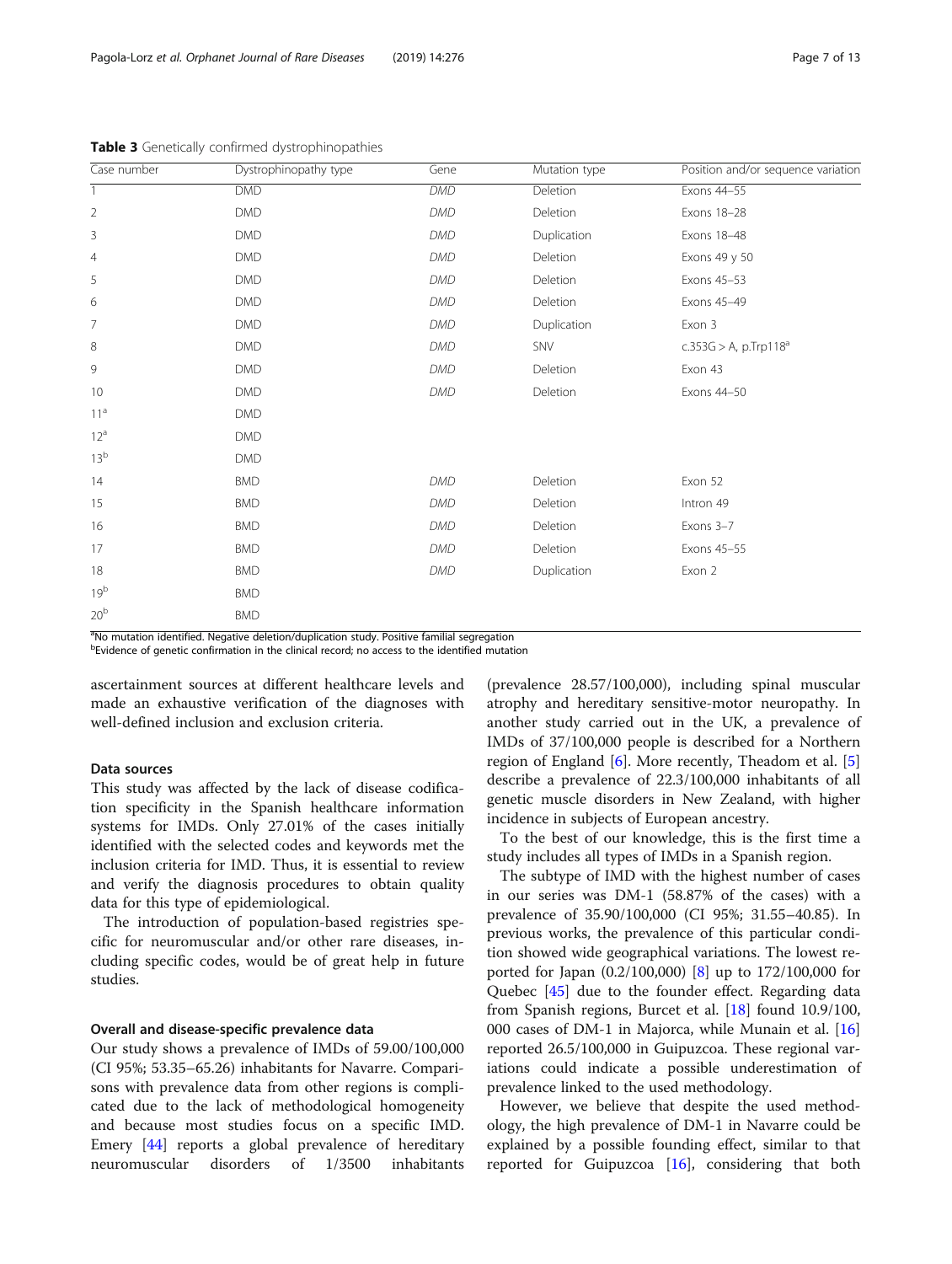| Case number     | Dystrophinopathy type | Gene       | Mutation type | Position and/or sequence variation   |
|-----------------|-----------------------|------------|---------------|--------------------------------------|
|                 | <b>DMD</b>            | <b>DMD</b> | Deletion      | Exons 44-55                          |
| $\overline{2}$  | <b>DMD</b>            | <b>DMD</b> | Deletion      | Exons 18-28                          |
| 3               | <b>DMD</b>            | <b>DMD</b> | Duplication   | Exons 18-48                          |
| $\overline{4}$  | <b>DMD</b>            | <b>DMD</b> | Deletion      | Exons 49 y 50                        |
| 5               | <b>DMD</b>            | <b>DMD</b> | Deletion      | Exons 45-53                          |
| 6               | <b>DMD</b>            | <b>DMD</b> | Deletion      | Exons 45-49                          |
| 7               | <b>DMD</b>            | <b>DMD</b> | Duplication   | Exon 3                               |
| 8               | <b>DMD</b>            | <b>DMD</b> | SNV           | $c.353G > A$ , p.Trp118 <sup>a</sup> |
| 9               | <b>DMD</b>            | <b>DMD</b> | Deletion      | Exon 43                              |
| 10              | <b>DMD</b>            | <b>DMD</b> | Deletion      | Exons 44-50                          |
| 11 <sup>a</sup> | <b>DMD</b>            |            |               |                                      |
| $12^a$          | <b>DMD</b>            |            |               |                                      |
| 13 <sup>b</sup> | <b>DMD</b>            |            |               |                                      |
| 14              | <b>BMD</b>            | <b>DMD</b> | Deletion      | Exon 52                              |
| 15              | <b>BMD</b>            | <b>DMD</b> | Deletion      | Intron 49                            |
| 16              | <b>BMD</b>            | <b>DMD</b> | Deletion      | Exons 3-7                            |
| 17              | <b>BMD</b>            | <b>DMD</b> | Deletion      | Exons 45-55                          |
| 18              | <b>BMD</b>            | <b>DMD</b> | Duplication   | Exon 2                               |
| 19 <sup>b</sup> | <b>BMD</b>            |            |               |                                      |
| 20 <sup>b</sup> | <b>BMD</b>            |            |               |                                      |

<span id="page-6-0"></span>Table 3 Genetically confirmed dystrophinopathies

<sup>a</sup>No mutation identified. Negative deletion/duplication study. Positive familial segregation

<sup>b</sup>Evidence of genetic confirmation in the clinical record; no access to the identified mutation

ascertainment sources at different healthcare levels and made an exhaustive verification of the diagnoses with well-defined inclusion and exclusion criteria.

# Data sources

This study was affected by the lack of disease codification specificity in the Spanish healthcare information systems for IMDs. Only 27.01% of the cases initially identified with the selected codes and keywords met the inclusion criteria for IMD. Thus, it is essential to review and verify the diagnosis procedures to obtain quality data for this type of epidemiological.

The introduction of population-based registries specific for neuromuscular and/or other rare diseases, including specific codes, would be of great help in future studies.

# Overall and disease-specific prevalence data

Our study shows a prevalence of IMDs of 59.00/100,000 (CI 95%; 53.35–65.26) inhabitants for Navarre. Comparisons with prevalence data from other regions is complicated due to the lack of methodological homogeneity and because most studies focus on a specific IMD. Emery [[44\]](#page-11-0) reports a global prevalence of hereditary neuromuscular disorders of 1/3500 inhabitants

(prevalence 28.57/100,000), including spinal muscular atrophy and hereditary sensitive-motor neuropathy. In another study carried out in the UK, a prevalence of IMDs of 37/100,000 people is described for a Northern region of England [[6\]](#page-11-0). More recently, Theadom et al. [\[5](#page-11-0)] describe a prevalence of 22.3/100,000 inhabitants of all genetic muscle disorders in New Zealand, with higher incidence in subjects of European ancestry.

To the best of our knowledge, this is the first time a study includes all types of IMDs in a Spanish region.

The subtype of IMD with the highest number of cases in our series was DM-1 (58.87% of the cases) with a prevalence of 35.90/100,000 (CI 95%; 31.55–40.85). In previous works, the prevalence of this particular condition showed wide geographical variations. The lowest reported for Japan (0.2/100,000) [\[8](#page-11-0)] up to 172/100,000 for Quebec [[45](#page-11-0)] due to the founder effect. Regarding data from Spanish regions, Burcet et al. [[18\]](#page-11-0) found 10.9/100, 000 cases of DM-1 in Majorca, while Munain et al. [[16](#page-11-0)] reported 26.5/100,000 in Guipuzcoa. These regional variations could indicate a possible underestimation of prevalence linked to the used methodology.

However, we believe that despite the used methodology, the high prevalence of DM-1 in Navarre could be explained by a possible founding effect, similar to that reported for Guipuzcoa  $[16]$  $[16]$ , considering that both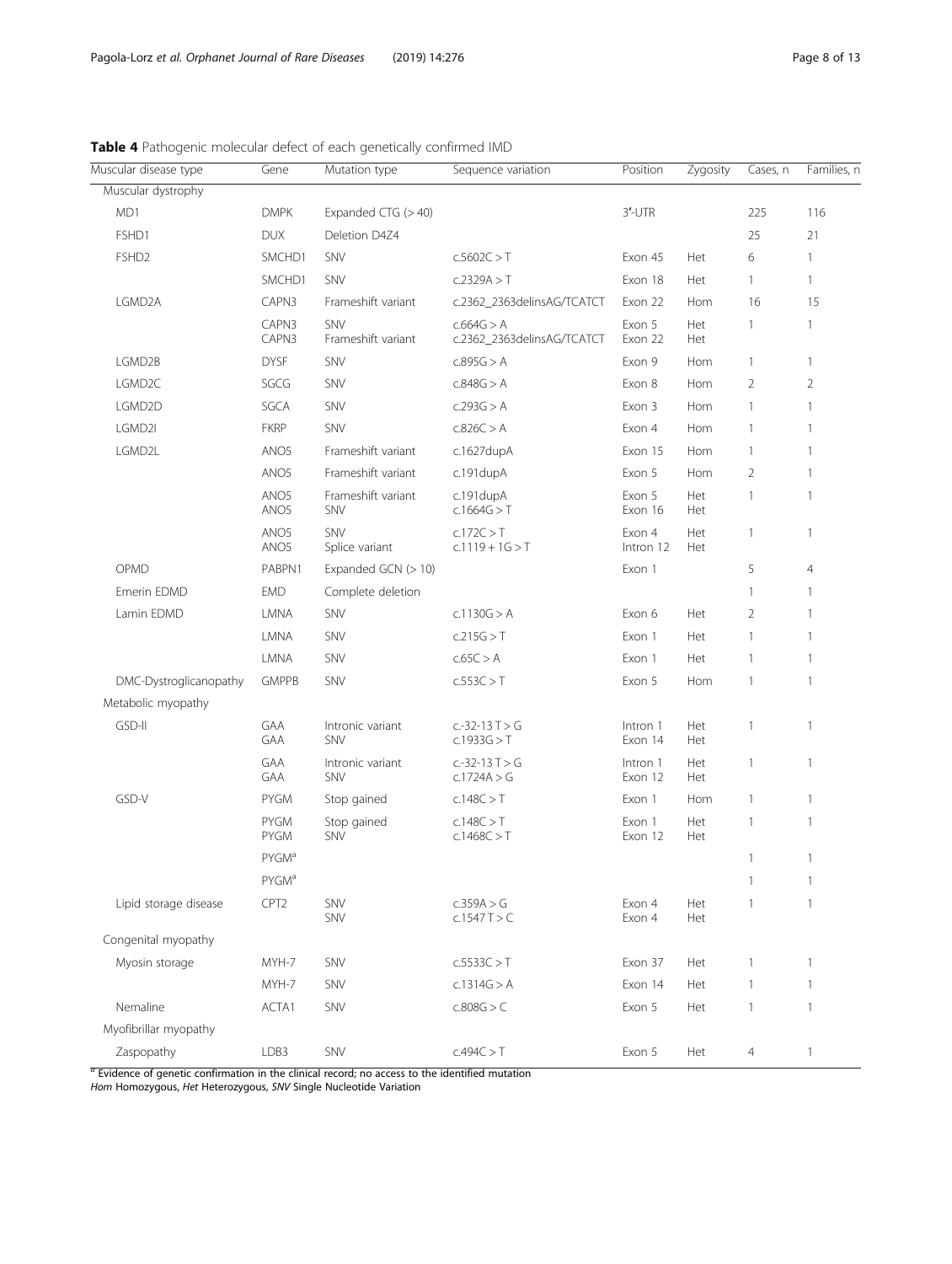| Muscular disease type  | Gene                                 | Mutation type                  | Sequence variation                       | Position            | Zygosity   | Cases, n       | Families, n    |
|------------------------|--------------------------------------|--------------------------------|------------------------------------------|---------------------|------------|----------------|----------------|
| Muscular dystrophy     |                                      |                                |                                          |                     |            |                |                |
| MD1                    | <b>DMPK</b>                          | Expanded CTG (> 40)            |                                          | $3'$ -UTR           |            | 225            | 116            |
| FSHD1                  | <b>DUX</b>                           | Deletion D4Z4                  |                                          |                     |            | 25             | 21             |
| FSHD <sub>2</sub>      | SMCHD1                               | SNV                            | c.5602C > T                              | Exon 45             | Het        | 6              | $\mathbf{1}$   |
|                        | SMCHD1                               | SNV                            | c.2329A > T                              | Exon 18             | Het        | 1              | $\mathbf{1}$   |
| LGMD2A                 | CAPN3                                | Frameshift variant             | c.2362_2363delinsAG/TCATCT               | Exon 22             | Hom        | 16             | 15             |
|                        | CAPN3<br>CAPN3                       | SNV<br>Frameshift variant      | c.664G > A<br>c.2362_2363delinsAG/TCATCT | Exon 5<br>Exon 22   | Het<br>Het | $\mathbf{1}$   | $\mathbf{1}$   |
| LGMD2B                 | <b>DYSF</b>                          | SNV                            | c.895G > A                               | Exon 9              | Hom        | 1              | $\mathbf{1}$   |
| LGMD2C                 | SGCG                                 | SNV                            | c.848G > A                               | Exon 8              | Hom        | $\overline{2}$ | $\overline{2}$ |
| LGMD2D                 | SGCA                                 | SNV                            | c.293G > A                               | Exon 3              | Hom        | $\mathbf{1}$   | $\mathbf{1}$   |
| LGMD2I                 | <b>FKRP</b>                          | SNV                            | c.826C > A                               | Exon 4              | Hom        | 1              | $\mathbf{1}$   |
| LGMD2L                 | ANO <sub>5</sub>                     | Frameshift variant             | $c.1627$ dup $A$                         | Exon 15             | Hom        | 1              | $\mathbf{1}$   |
|                        | ANO <sub>5</sub>                     | Frameshift variant             | c.191dupA                                | Exon 5              | Hom        | $\overline{2}$ | $\mathbf{1}$   |
|                        | ANO <sub>5</sub><br>ANO <sub>5</sub> | Frameshift variant<br>SNV      | c.191 dupA<br>c.1664G > T                | Exon 5<br>Exon 16   | Het<br>Het | 1              | $\mathbf{1}$   |
|                        | ANO <sub>5</sub><br>ANO <sub>5</sub> | SNV<br>Splice variant          | c.172C > T<br>$c.1119 + 1G > T$          | Exon 4<br>Intron 12 | Het<br>Het | 1              | $\mathbf{1}$   |
| OPMD                   | PABPN1                               | Expanded GCN (> 10)            |                                          | Exon 1              |            | 5              | $\overline{4}$ |
| Emerin EDMD            | <b>EMD</b>                           | Complete deletion              |                                          |                     |            | 1              | $\mathbf{1}$   |
| Lamin EDMD             | LMNA                                 | SNV                            | c.1130G > A                              | Exon 6              | Het        | 2              | $\mathbf{1}$   |
|                        | LMNA                                 | SNV                            | c.215G > T                               | Exon 1              | Het        | $\mathbf{1}$   | $\mathbf{1}$   |
|                        | LMNA                                 | SNV                            | c.65C > A                                | Exon 1              | Het        | 1              | $\mathbf{1}$   |
| DMC-Dystroglicanopathy | <b>GMPPB</b>                         | SNV                            | c.553C > T                               | Exon 5              | Hom        | 1              | $\mathbf{1}$   |
| Metabolic myopathy     |                                      |                                |                                          |                     |            |                |                |
| GSD-II                 | GAA<br><b>GAA</b>                    | Intronic variant<br><b>SNV</b> | $c.-32-13T > G$<br>c.1933G > T           | Intron 1<br>Exon 14 | Het<br>Het | 1              | $\mathbf{1}$   |
|                        | GAA<br>GAA                           | Intronic variant<br>SNV        | c.-32-13 $T > G$<br>c.1724A > G          | Intron 1<br>Exon 12 | Het<br>Het | 1              | $\mathbf{1}$   |
| GSD-V                  | <b>PYGM</b>                          | Stop gained                    | c.148C > T                               | Exon 1              | Hom        | $\mathbf{1}$   | $\mathbf{1}$   |
|                        | <b>PYGM</b><br><b>PYGM</b>           | Stop gained<br>SNV             | c.148C > T<br>c.1468C > T                | Exon 1<br>Exon 12   | Het<br>Het | 1              | $\mathbf{1}$   |
|                        | <b>PYGM<sup>a</sup></b>              |                                |                                          |                     |            | 1              | $\mathbf{1}$   |
|                        | <b>PYGM<sup>a</sup></b>              |                                |                                          |                     |            |                |                |
| Lipid storage disease  | CPT <sub>2</sub>                     | SNV<br>SNV                     | c.359A > G<br>c.1547T > C                | Exon 4<br>Exon 4    | Het<br>Het |                | $\mathbf{1}$   |
| Congenital myopathy    |                                      |                                |                                          |                     |            |                |                |
| Myosin storage         | MYH-7                                | <b>SNV</b>                     | c.5533C > T                              | Exon 37             | Het        | 1              | $\mathbf{1}$   |
|                        | MYH-7                                | SNV                            | c.1314G > A                              | Exon 14             | Het        | 1              | $\mathbf{1}$   |
| Nemaline               | ACTA1                                | SNV                            | c.808G > C                               | Exon 5              | Het        | 1              | $\mathbf{1}$   |
| Myofibrillar myopathy  |                                      |                                |                                          |                     |            |                |                |
| Zaspopathy             | LDB3                                 | SNV                            | c.494C > T                               | Exon 5              | Het        | $\overline{4}$ | $\mathbf{1}$   |

<span id="page-7-0"></span>Table 4 Pathogenic molecular defect of each genetically confirmed IMD

 $a$  Evidence of genetic confirmation in the clinical record; no access to the identified mutation

Hom Homozygous, Het Heterozygous, SNV Single Nucleotide Variation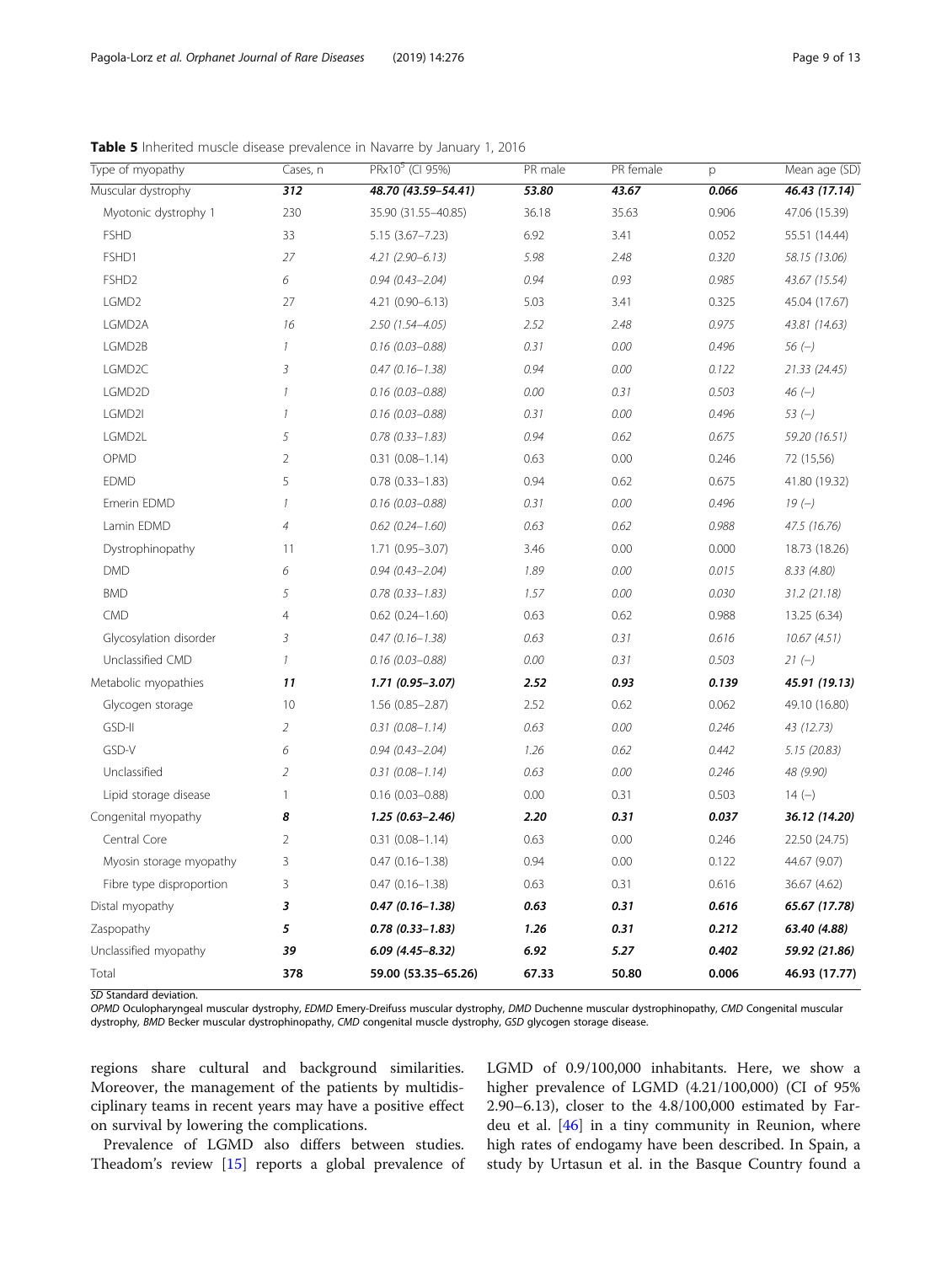| Type of myopathy         | Cases, n         | PRx10 <sup>5</sup> (CI 95%) | PR male | PR female | p     | Mean age (SD) |
|--------------------------|------------------|-----------------------------|---------|-----------|-------|---------------|
| Muscular dystrophy       | $\overline{312}$ | 48.70 (43.59-54.41)         | 53.80   | 43.67     | 0.066 | 46.43 (17.14) |
| Myotonic dystrophy 1     | 230              | 35.90 (31.55-40.85)         | 36.18   | 35.63     | 0.906 | 47.06 (15.39) |
| <b>FSHD</b>              | 33               | $5.15(3.67 - 7.23)$         | 6.92    | 3.41      | 0.052 | 55.51 (14.44) |
| FSHD1                    | 27               | $4.21(2.90 - 6.13)$         | 5.98    | 2.48      | 0.320 | 58.15 (13.06) |
| FSHD <sub>2</sub>        | 6                | $0.94(0.43 - 2.04)$         | 0.94    | 0.93      | 0.985 | 43.67 (15.54) |
| LGMD2                    | 27               | 4.21 (0.90-6.13)            | 5.03    | 3.41      | 0.325 | 45.04 (17.67) |
| LGMD2A                   | 16               | 2.50 (1.54-4.05)            | 2.52    | 2.48      | 0.975 | 43.81 (14.63) |
| LGMD2B                   | $\mathcal{I}$    | $0.16$ (0.03-0.88)          | 0.31    | 0.00      | 0.496 | $56 (-)$      |
| LGMD2C                   | $\overline{3}$   | $0.47(0.16 - 1.38)$         | 0.94    | 0.00      | 0.122 | 21.33 (24.45) |
| LGMD2D                   | $\mathcal{I}$    | $0.16$ (0.03-0.88)          | 0.00    | 0.31      | 0.503 | $46(-)$       |
| LGMD2I                   | $\mathcal{I}$    | $0.16$ (0.03-0.88)          | 0.31    | 0.00      | 0.496 | $53(-)$       |
| LGMD2L                   | 5                | $0.78$ $(0.33 - 1.83)$      | 0.94    | 0.62      | 0.675 | 59.20 (16.51) |
| OPMD                     | $\overline{2}$   | $0.31(0.08 - 1.14)$         | 0.63    | 0.00      | 0.246 | 72 (15,56)    |
| <b>EDMD</b>              | 5                | $0.78$ $(0.33 - 1.83)$      | 0.94    | 0.62      | 0.675 | 41.80 (19.32) |
| Emerin EDMD              | $\mathcal{I}$    | $0.16$ (0.03-0.88)          | 0.31    | 0.00      | 0.496 | $19(-)$       |
| Lamin EDMD               | $\overline{4}$   | $0.62$ $(0.24 - 1.60)$      | 0.63    | 0.62      | 0.988 | 47.5 (16.76)  |
| Dystrophinopathy         | 11               | 1.71 (0.95-3.07)            | 3.46    | 0.00      | 0.000 | 18.73 (18.26) |
| <b>DMD</b>               | 6                | $0.94(0.43 - 2.04)$         | 1.89    | 0.00      | 0.015 | 8.33 (4.80)   |
| <b>BMD</b>               | 5                | $0.78$ $(0.33 - 1.83)$      | 1.57    | 0.00      | 0.030 | 31.2(21.18)   |
| <b>CMD</b>               | $\overline{4}$   | $0.62$ $(0.24 - 1.60)$      | 0.63    | 0.62      | 0.988 | 13.25 (6.34)  |
| Glycosylation disorder   | $\overline{3}$   | $0.47(0.16 - 1.38)$         | 0.63    | 0.31      | 0.616 | 10.67(4.51)   |
| Unclassified CMD         | $\mathcal{I}$    | $0.16$ (0.03-0.88)          | 0.00    | 0.31      | 0.503 | $21 (-)$      |
| Metabolic myopathies     | 11               | $1.71(0.95 - 3.07)$         | 2.52    | 0.93      | 0.139 | 45.91 (19.13) |
| Glycogen storage         | 10               | 1.56 (0.85-2.87)            | 2.52    | 0.62      | 0.062 | 49.10 (16.80) |
| GSD-II                   | $\overline{2}$   | $0.31(0.08 - 1.14)$         | 0.63    | 0.00      | 0.246 | 43 (12.73)    |
| GSD-V                    | 6                | $0.94(0.43 - 2.04)$         | 1.26    | 0.62      | 0.442 | 5.15(20.83)   |
| Unclassified             | $\overline{2}$   | $0.31(0.08 - 1.14)$         | 0.63    | 0.00      | 0.246 | 48 (9.90)     |
| Lipid storage disease    | $\mathbf{1}$     | $0.16$ (0.03-0.88)          | 0.00    | 0.31      | 0.503 | $14(-)$       |
| Congenital myopathy      | 8                | $1.25(0.63 - 2.46)$         | 2.20    | 0.31      | 0.037 | 36.12 (14.20) |
| Central Core             | $\overline{2}$   | $0.31(0.08 - 1.14)$         | 0.63    | 0.00      | 0.246 | 22.50 (24.75) |
| Myosin storage myopathy  | 3                | $0.47(0.16 - 1.38)$         | 0.94    | 0.00      | 0.122 | 44.67 (9.07)  |
| Fibre type disproportion | 3                | $0.47(0.16 - 1.38)$         | 0.63    | 0.31      | 0.616 | 36.67 (4.62)  |
| Distal myopathy          | 3                | $0.47(0.16 - 1.38)$         | 0.63    | 0.31      | 0.616 | 65.67 (17.78) |
| Zaspopathy               | 5                | $0.78(0.33 - 1.83)$         | 1.26    | 0.31      | 0.212 | 63.40 (4.88)  |
| Unclassified myopathy    | 39               | $6.09$ (4.45-8.32)          | 6.92    | 5.27      | 0.402 | 59.92 (21.86) |
| Total                    | 378              | 59.00 (53.35-65.26)         | 67.33   | 50.80     | 0.006 | 46.93 (17.77) |

<span id="page-8-0"></span>Table 5 Inherited muscle disease prevalence in Navarre by January 1, 2016

SD Standard deviation.

OPMD Oculopharyngeal muscular dystrophy, EDMD Emery-Dreifuss muscular dystrophy, DMD Duchenne muscular dystrophinopathy, CMD Congenital muscular dystrophy, BMD Becker muscular dystrophinopathy, CMD congenital muscle dystrophy, GSD glycogen storage disease.

regions share cultural and background similarities. Moreover, the management of the patients by multidisciplinary teams in recent years may have a positive effect on survival by lowering the complications.

Prevalence of LGMD also differs between studies. Theadom's review [[15\]](#page-11-0) reports a global prevalence of LGMD of 0.9/100,000 inhabitants. Here, we show a higher prevalence of LGMD (4.21/100,000) (CI of 95% 2.90–6.13), closer to the 4.8/100,000 estimated by Fardeu et al. [\[46](#page-11-0)] in a tiny community in Reunion, where high rates of endogamy have been described. In Spain, a study by Urtasun et al. in the Basque Country found a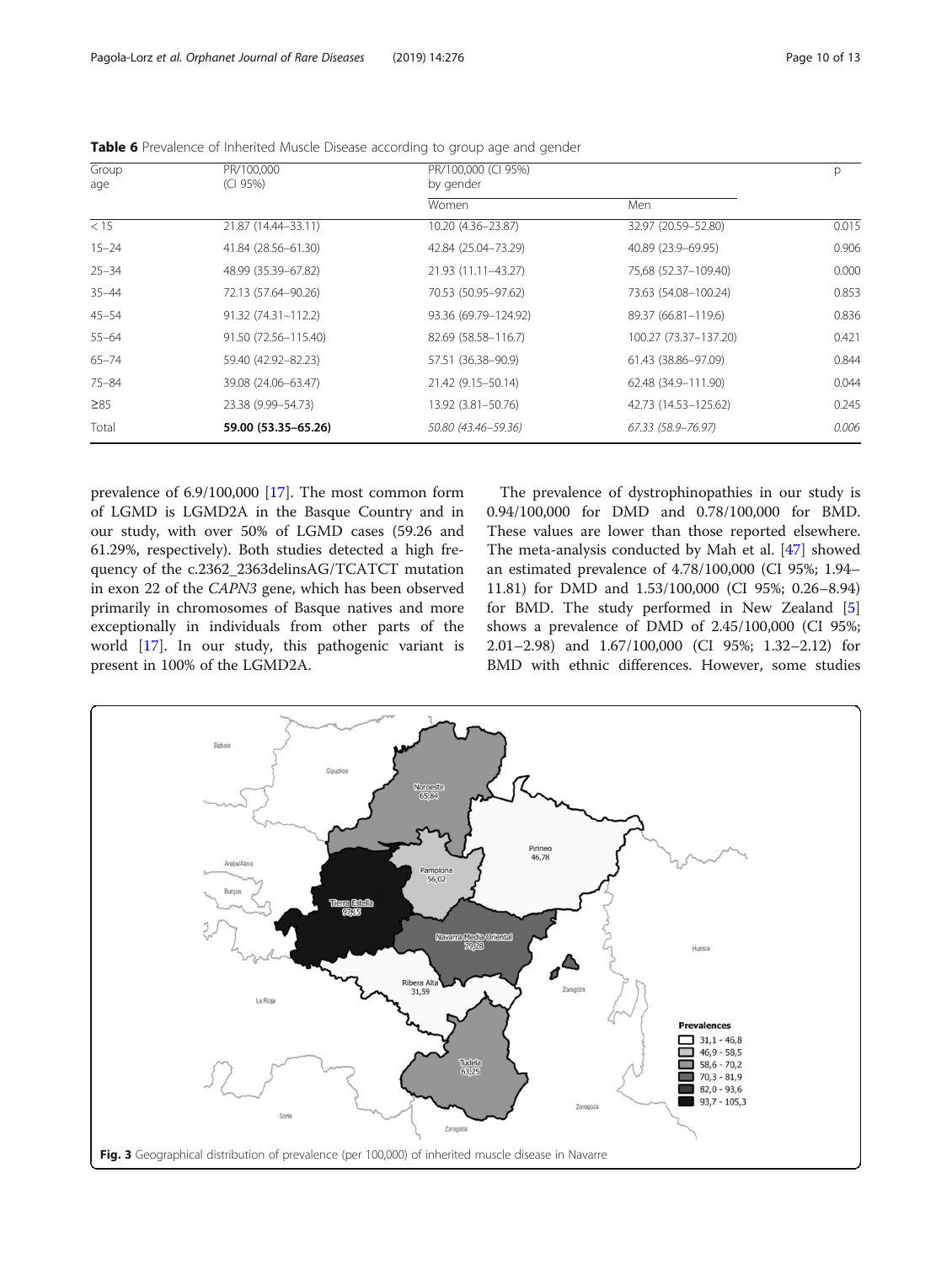| Group<br>age     | PR/100,000<br>(CI 95%) | PR/100,000 (CI 95%)<br>by gender |                       |       |  |
|------------------|------------------------|----------------------------------|-----------------------|-------|--|
|                  |                        | Women                            | Men                   |       |  |
| $\overline{<15}$ | 21.87 (14.44-33.11)    | 10.20 (4.36-23.87)               | 32.97 (20.59-52.80)   | 0.015 |  |
| $15 - 24$        | 41.84 (28.56-61.30)    | 42.84 (25.04-73.29)              | 40.89 (23.9-69.95)    | 0.906 |  |
| $25 - 34$        | 48.99 (35.39-67.82)    | 21.93 (11.11-43.27)              | 75,68 (52.37-109.40)  | 0.000 |  |
| $35 - 44$        | 72.13 (57.64-90.26)    | 70.53 (50.95-97.62)              | 73.63 (54.08-100.24)  | 0.853 |  |
| $45 - 54$        | 91.32 (74.31-112.2)    | 93.36 (69.79-124.92)             | 89.37 (66.81-119.6)   | 0.836 |  |
| $55 - 64$        | 91.50 (72.56-115.40)   | 82.69 (58.58-116.7)              | 100.27 (73.37-137.20) | 0.421 |  |
| $65 - 74$        | 59.40 (42.92-82.23)    | 57.51 (36.38-90.9)               | 61.43 (38.86-97.09)   | 0.844 |  |
| $75 - 84$        | 39.08 (24.06-63.47)    | 21.42 (9.15 - 50.14)             | 62.48 (34.9-111.90)   | 0.044 |  |
| $\geq 85$        | 23.38 (9.99 - 54.73)   | 13.92 (3.81-50.76)               | 42.73 (14.53-125.62)  | 0.245 |  |
| Total            | 59.00 (53.35-65.26)    | 50.80 (43.46–59.36)              | 67.33 (58.9–76.97)    | 0.006 |  |

<span id="page-9-0"></span>Table 6 Prevalence of Inherited Muscle Disease according to group age and gender

prevalence of 6.9/100,000 [[17\]](#page-11-0). The most common form of LGMD is LGMD2A in the Basque Country and in our study, with over 50% of LGMD cases (59.26 and 61.29%, respectively). Both studies detected a high frequency of the c.2362\_2363delinsAG/TCATCT mutation in exon 22 of the CAPN3 gene, which has been observed primarily in chromosomes of Basque natives and more exceptionally in individuals from other parts of the world [[17](#page-11-0)]. In our study, this pathogenic variant is present in 100% of the LGMD2A.

The prevalence of dystrophinopathies in our study is 0.94/100,000 for DMD and 0.78/100,000 for BMD. These values are lower than those reported elsewhere. The meta-analysis conducted by Mah et al. [\[47](#page-11-0)] showed an estimated prevalence of 4.78/100,000 (CI 95%; 1.94– 11.81) for DMD and 1.53/100,000 (CI 95%; 0.26–8.94) for BMD. The study performed in New Zealand [\[5](#page-11-0)] shows a prevalence of DMD of 2.45/100,000 (CI 95%; 2.01–2.98) and 1.67/100,000 (CI 95%; 1.32–2.12) for BMD with ethnic differences. However, some studies

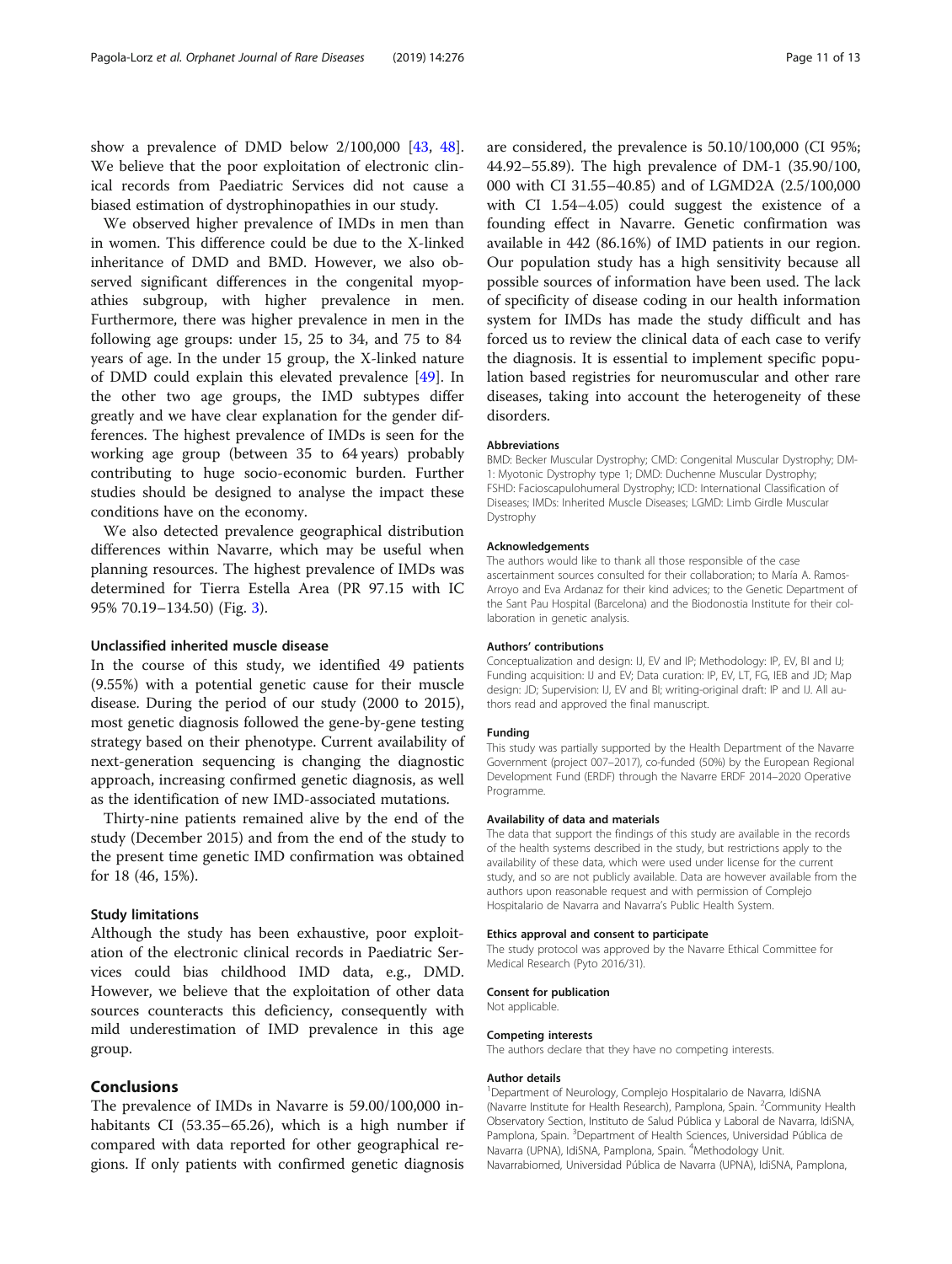show a prevalence of DMD below 2/100,000 [[43](#page-11-0), [48](#page-12-0)]. We believe that the poor exploitation of electronic clinical records from Paediatric Services did not cause a biased estimation of dystrophinopathies in our study.

We observed higher prevalence of IMDs in men than in women. This difference could be due to the X-linked inheritance of DMD and BMD. However, we also observed significant differences in the congenital myopathies subgroup, with higher prevalence in men. Furthermore, there was higher prevalence in men in the following age groups: under 15, 25 to 34, and 75 to 84 years of age. In the under 15 group, the X-linked nature of DMD could explain this elevated prevalence [[49](#page-12-0)]. In the other two age groups, the IMD subtypes differ greatly and we have clear explanation for the gender differences. The highest prevalence of IMDs is seen for the working age group (between 35 to 64 years) probably contributing to huge socio-economic burden. Further studies should be designed to analyse the impact these conditions have on the economy.

We also detected prevalence geographical distribution differences within Navarre, which may be useful when planning resources. The highest prevalence of IMDs was determined for Tierra Estella Area (PR 97.15 with IC 95% 70.19–134.50) (Fig. [3](#page-9-0)).

# Unclassified inherited muscle disease

In the course of this study, we identified 49 patients (9.55%) with a potential genetic cause for their muscle disease. During the period of our study (2000 to 2015), most genetic diagnosis followed the gene-by-gene testing strategy based on their phenotype. Current availability of next-generation sequencing is changing the diagnostic approach, increasing confirmed genetic diagnosis, as well as the identification of new IMD-associated mutations.

Thirty-nine patients remained alive by the end of the study (December 2015) and from the end of the study to the present time genetic IMD confirmation was obtained for 18 (46, 15%).

# Study limitations

Although the study has been exhaustive, poor exploitation of the electronic clinical records in Paediatric Services could bias childhood IMD data, e.g., DMD. However, we believe that the exploitation of other data sources counteracts this deficiency, consequently with mild underestimation of IMD prevalence in this age group.

# Conclusions

The prevalence of IMDs in Navarre is 59.00/100,000 inhabitants CI (53.35–65.26), which is a high number if compared with data reported for other geographical regions. If only patients with confirmed genetic diagnosis

are considered, the prevalence is 50.10/100,000 (CI 95%; 44.92–55.89). The high prevalence of DM-1 (35.90/100, 000 with CI 31.55–40.85) and of LGMD2A (2.5/100,000 with CI 1.54–4.05) could suggest the existence of a founding effect in Navarre. Genetic confirmation was available in 442 (86.16%) of IMD patients in our region. Our population study has a high sensitivity because all possible sources of information have been used. The lack of specificity of disease coding in our health information system for IMDs has made the study difficult and has forced us to review the clinical data of each case to verify the diagnosis. It is essential to implement specific population based registries for neuromuscular and other rare diseases, taking into account the heterogeneity of these disorders.

## Abbreviations

BMD: Becker Muscular Dystrophy; CMD: Congenital Muscular Dystrophy; DM-1: Myotonic Dystrophy type 1; DMD: Duchenne Muscular Dystrophy; FSHD: Facioscapulohumeral Dystrophy; ICD: International Classification of Diseases; IMDs: Inherited Muscle Diseases; LGMD: Limb Girdle Muscular Dystrophy

## Acknowledgements

The authors would like to thank all those responsible of the case ascertainment sources consulted for their collaboration; to María A. Ramos-Arroyo and Eva Ardanaz for their kind advices; to the Genetic Department of the Sant Pau Hospital (Barcelona) and the Biodonostia Institute for their collaboration in genetic analysis.

#### Authors' contributions

Conceptualization and design: IJ, EV and IP; Methodology: IP, EV, BI and IJ; Funding acquisition: IJ and EV; Data curation: IP, EV, LT, FG, IEB and JD; Map design: JD; Supervision: IJ, EV and BI; writing-original draft: IP and IJ. All authors read and approved the final manuscript.

## Funding

This study was partially supported by the Health Department of the Navarre Government (project 007–2017), co-funded (50%) by the European Regional Development Fund (ERDF) through the Navarre ERDF 2014–2020 Operative Programme.

## Availability of data and materials

The data that support the findings of this study are available in the records of the health systems described in the study, but restrictions apply to the availability of these data, which were used under license for the current study, and so are not publicly available. Data are however available from the authors upon reasonable request and with permission of Complejo Hospitalario de Navarra and Navarra's Public Health System.

## Ethics approval and consent to participate

The study protocol was approved by the Navarre Ethical Committee for Medical Research (Pyto 2016/31).

## Consent for publication

Not applicable.

## Competing interests

The authors declare that they have no competing interests.

## Author details

<sup>1</sup>Department of Neurology, Complejo Hospitalario de Navarra, IdiSNA (Navarre Institute for Health Research), Pamplona, Spain. <sup>2</sup>Community Health Observatory Section, Instituto de Salud Pública y Laboral de Navarra, IdiSNA, Pamplona, Spain. <sup>3</sup>Department of Health Sciences, Universidad Pública de Navarra (UPNA), IdiSNA, Pamplona, Spain. <sup>4</sup>Methodology Unit. Navarrabiomed, Universidad Pública de Navarra (UPNA), IdiSNA, Pamplona,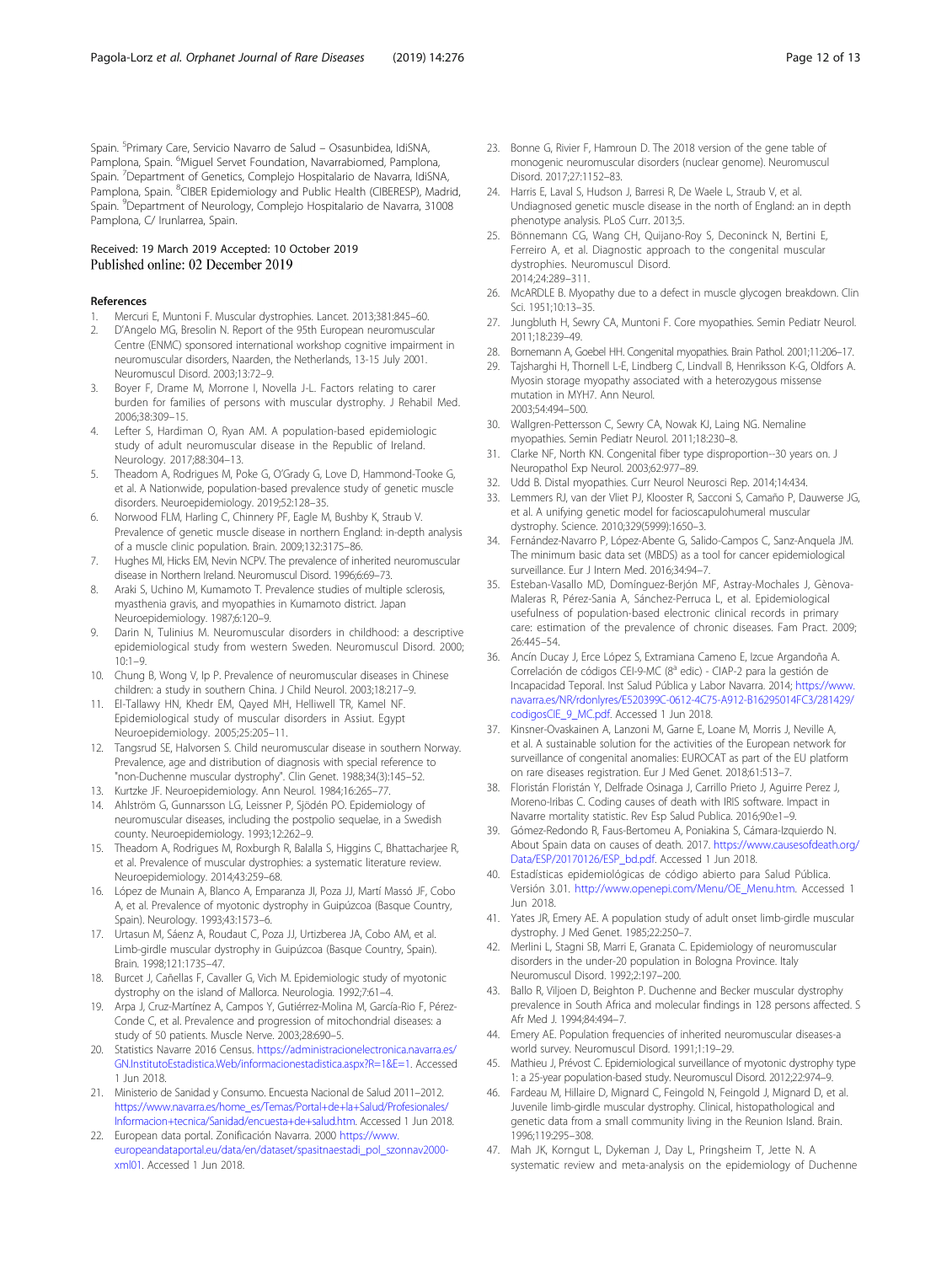<span id="page-11-0"></span>Spain. <sup>5</sup>Primary Care, Servicio Navarro de Salud – Osasunbidea, IdiSNA, Pamplona, Spain. <sup>6</sup>Miguel Servet Foundation, Navarrabiomed, Pamplona, Spain.<sup>7</sup> Department of Genetics, Complejo Hospitalario de Navarra, IdiSNA, Pamplona, Spain. <sup>8</sup>CIBER Epidemiology and Public Health (CIBERESP), Madrid, Spain. <sup>9</sup>Department of Neurology, Complejo Hospitalario de Navarra, 31008 Pamplona, C/ Irunlarrea, Spain.

# Received: 19 March 2019 Accepted: 10 October 2019 Published online: 02 December 2019

## References

- 1. Mercuri E, Muntoni F. Muscular dystrophies. Lancet. 2013;381:845–60.
- 2. D'Angelo MG, Bresolin N. Report of the 95th European neuromuscular Centre (ENMC) sponsored international workshop cognitive impairment in neuromuscular disorders, Naarden, the Netherlands, 13-15 July 2001. Neuromuscul Disord. 2003;13:72–9.
- 3. Boyer F, Drame M, Morrone I, Novella J-L. Factors relating to carer burden for families of persons with muscular dystrophy. J Rehabil Med. 2006;38:309–15.
- 4. Lefter S, Hardiman O, Ryan AM. A population-based epidemiologic study of adult neuromuscular disease in the Republic of Ireland. Neurology. 2017;88:304–13.
- 5. Theadom A, Rodrigues M, Poke G, O'Grady G, Love D, Hammond-Tooke G, et al. A Nationwide, population-based prevalence study of genetic muscle disorders. Neuroepidemiology. 2019;52:128–35.
- 6. Norwood FLM, Harling C, Chinnery PF, Eagle M, Bushby K, Straub V. Prevalence of genetic muscle disease in northern England: in-depth analysis of a muscle clinic population. Brain. 2009;132:3175–86.
- 7. Hughes MI, Hicks EM, Nevin NCPV. The prevalence of inherited neuromuscular disease in Northern Ireland. Neuromuscul Disord. 1996;6:69–73.
- 8. Araki S, Uchino M, Kumamoto T. Prevalence studies of multiple sclerosis, myasthenia gravis, and myopathies in Kumamoto district. Japan Neuroepidemiology. 1987;6:120–9.
- Darin N, Tulinius M. Neuromuscular disorders in childhood: a descriptive epidemiological study from western Sweden. Neuromuscul Disord. 2000; 10:1–9.
- 10. Chung B, Wong V, Ip P. Prevalence of neuromuscular diseases in Chinese children: a study in southern China. J Child Neurol. 2003;18:217–9.
- 11. El-Tallawy HN, Khedr EM, Qayed MH, Helliwell TR, Kamel NF. Epidemiological study of muscular disorders in Assiut. Egypt Neuroepidemiology. 2005;25:205–11.
- 12. Tangsrud SE, Halvorsen S. Child neuromuscular disease in southern Norway. Prevalence, age and distribution of diagnosis with special reference to "non-Duchenne muscular dystrophy". Clin Genet. 1988;34(3):145–52.
- 13. Kurtzke JF. Neuroepidemiology. Ann Neurol. 1984;16:265–77.
- 14. Ahlström G, Gunnarsson LG, Leissner P, Sjödén PO. Epidemiology of neuromuscular diseases, including the postpolio sequelae, in a Swedish county. Neuroepidemiology. 1993;12:262–9.
- 15. Theadom A, Rodrigues M, Roxburgh R, Balalla S, Higgins C, Bhattacharjee R, et al. Prevalence of muscular dystrophies: a systematic literature review. Neuroepidemiology. 2014;43:259–68.
- 16. López de Munain A, Blanco A, Emparanza JI, Poza JJ, Martí Massó JF, Cobo A, et al. Prevalence of myotonic dystrophy in Guipúzcoa (Basque Country, Spain). Neurology. 1993;43:1573–6.
- 17. Urtasun M, Sáenz A, Roudaut C, Poza JJ, Urtizberea JA, Cobo AM, et al. Limb-girdle muscular dystrophy in Guipúzcoa (Basque Country, Spain). Brain. 1998;121:1735–47.
- 18. Burcet J, Cañellas F, Cavaller G, Vich M. Epidemiologic study of myotonic dystrophy on the island of Mallorca. Neurologia. 1992;7:61–4.
- 19. Arpa J, Cruz-Martínez A, Campos Y, Gutiérrez-Molina M, García-Rio F, Pérez-Conde C, et al. Prevalence and progression of mitochondrial diseases: a study of 50 patients. Muscle Nerve. 2003;28:690–5.
- 20. Statistics Navarre 2016 Census. [https://administracionelectronica.navarra.es/](https://administracionelectronica.navarra.es/GN.InstitutoEstadistica.Web/informacionestadistica.aspx?R=1&E=1) [GN.InstitutoEstadistica.Web/informacionestadistica.aspx?R=1&E=1.](https://administracionelectronica.navarra.es/GN.InstitutoEstadistica.Web/informacionestadistica.aspx?R=1&E=1) Accessed 1 Jun 2018.
- 21. Ministerio de Sanidad y Consumo. Encuesta Nacional de Salud 2011–2012. [https://www.navarra.es/home\\_es/Temas/Portal+de+la+Salud/Profesionales/](https://www.navarra.es/home_es/Temas/Portal+de+la+Salud/Profesionales/Informacion+tecnica/Sanidad/encuesta+de+salud.htm) [Informacion+tecnica/Sanidad/encuesta+de+salud.htm](https://www.navarra.es/home_es/Temas/Portal+de+la+Salud/Profesionales/Informacion+tecnica/Sanidad/encuesta+de+salud.htm). Accessed 1 Jun 2018.
- 22. European data portal. Zonificación Navarra. 2000 [https://www.](https://www.europeandataportal.eu/data/en/dataset/spasitnaestadi_pol_szonnav2000-xml01) [europeandataportal.eu/data/en/dataset/spasitnaestadi\\_pol\\_szonnav2000](https://www.europeandataportal.eu/data/en/dataset/spasitnaestadi_pol_szonnav2000-xml01) [xml01.](https://www.europeandataportal.eu/data/en/dataset/spasitnaestadi_pol_szonnav2000-xml01) Accessed 1 Jun 2018.
- 23. Bonne G, Rivier F, Hamroun D. The 2018 version of the gene table of monogenic neuromuscular disorders (nuclear genome). Neuromuscul Disord. 2017;27:1152–83.
- 24. Harris E, Laval S, Hudson J, Barresi R, De Waele L, Straub V, et al. Undiagnosed genetic muscle disease in the north of England: an in depth phenotype analysis. PLoS Curr. 2013;5.
- 25. Bönnemann CG, Wang CH, Quijano-Roy S, Deconinck N, Bertini E, Ferreiro A, et al. Diagnostic approach to the congenital muscular dystrophies. Neuromuscul Disord. 2014;24:289–311.
- 26. McARDLE B. Myopathy due to a defect in muscle glycogen breakdown. Clin Sci. 1951;10:13–35.
- 27. Jungbluth H, Sewry CA, Muntoni F. Core myopathies. Semin Pediatr Neurol. 2011;18:239–49.
- 28. Bornemann A, Goebel HH. Congenital myopathies. Brain Pathol. 2001;11:206–17.
- 29. Tajsharghi H, Thornell L-E, Lindberg C, Lindvall B, Henriksson K-G, Oldfors A. Myosin storage myopathy associated with a heterozygous missense mutation in MYH7. Ann Neurol. 2003;54:494–500.
- 30. Wallgren-Pettersson C, Sewry CA, Nowak KJ, Laing NG. Nemaline myopathies. Semin Pediatr Neurol. 2011;18:230–8.
- 31. Clarke NF, North KN. Congenital fiber type disproportion--30 years on. J Neuropathol Exp Neurol. 2003;62:977–89.
- 32. Udd B. Distal myopathies. Curr Neurol Neurosci Rep. 2014;14:434.
- 33. Lemmers RJ, van der Vliet PJ, Klooster R, Sacconi S, Camaño P, Dauwerse JG, et al. A unifying genetic model for facioscapulohumeral muscular dystrophy. Science. 2010;329(5999):1650–3.
- 34. Fernández-Navarro P, López-Abente G, Salido-Campos C, Sanz-Anquela JM. The minimum basic data set (MBDS) as a tool for cancer epidemiological surveillance. Eur J Intern Med. 2016;34:94–7.
- 35. Esteban-Vasallo MD, Domínguez-Berjón MF, Astray-Mochales J, Gènova-Maleras R, Pérez-Sania A, Sánchez-Perruca L, et al. Epidemiological usefulness of population-based electronic clinical records in primary care: estimation of the prevalence of chronic diseases. Fam Pract. 2009; 26:445–54.
- 36. Ancín Ducay J, Erce López S, Extramiana Cameno E, Izcue Argandoña A. Correlación de códigos CEI-9-MC (8ª edic) - CIAP-2 para la gestión de Incapacidad Teporal. Inst Salud Pública y Labor Navarra. 2014; [https://www.](https://www.navarra.es/NR/rdonlyres/E520399C-0612-4C75-A912-B16295014FC3/281429/codigosCIE_9_MC.pdf) [navarra.es/NR/rdonlyres/E520399C-0612-4C75-A912-B16295014FC3/281429/](https://www.navarra.es/NR/rdonlyres/E520399C-0612-4C75-A912-B16295014FC3/281429/codigosCIE_9_MC.pdf) [codigosCIE\\_9\\_MC.pdf.](https://www.navarra.es/NR/rdonlyres/E520399C-0612-4C75-A912-B16295014FC3/281429/codigosCIE_9_MC.pdf) Accessed 1 Jun 2018.
- 37. Kinsner-Ovaskainen A, Lanzoni M, Garne E, Loane M, Morris J, Neville A, et al. A sustainable solution for the activities of the European network for surveillance of congenital anomalies: EUROCAT as part of the EU platform on rare diseases registration. Eur J Med Genet. 2018;61:513–7.
- 38. Floristán Floristán Y, Delfrade Osinaga J, Carrillo Prieto J, Aguirre Perez J, Moreno-Iribas C. Coding causes of death with IRIS software. Impact in Navarre mortality statistic. Rev Esp Salud Publica. 2016;90:e1–9.
- 39. Gómez-Redondo R, Faus-Bertomeu A, Poniakina S, Cámara-Izquierdo N. About Spain data on causes of death. 2017. [https://www.causesofdeath.org/](https://www.causesofdeath.org/Data/ESP/20170126/ESP_bd.pdf) [Data/ESP/20170126/ESP\\_bd.pdf.](https://www.causesofdeath.org/Data/ESP/20170126/ESP_bd.pdf) Accessed 1 Jun 2018.
- 40. Estadísticas epidemiológicas de código abierto para Salud Pública. Versión 3.01. [http://www.openepi.com/Menu/OE\\_Menu.htm.](http://www.openepi.com/Menu/OE_Menu.htm) Accessed 1 Jun 2018.
- 41. Yates JR, Emery AE. A population study of adult onset limb-girdle muscular dystrophy. J Med Genet. 1985;22:250–7.
- 42. Merlini L, Stagni SB, Marri E, Granata C. Epidemiology of neuromuscular disorders in the under-20 population in Bologna Province. Italy Neuromuscul Disord. 1992;2:197–200.
- 43. Ballo R, Viljoen D, Beighton P. Duchenne and Becker muscular dystrophy prevalence in South Africa and molecular findings in 128 persons affected. S Afr Med J. 1994;84:494–7.
- 44. Emery AE. Population frequencies of inherited neuromuscular diseases-a world survey. Neuromuscul Disord. 1991;1:19–29.
- 45. Mathieu J, Prévost C. Epidemiological surveillance of myotonic dystrophy type 1: a 25-year population-based study. Neuromuscul Disord. 2012;22:974–9.
- 46. Fardeau M, Hillaire D, Mignard C, Feingold N, Feingold J, Mignard D, et al. Juvenile limb-girdle muscular dystrophy. Clinical, histopathological and genetic data from a small community living in the Reunion Island. Brain. 1996;119:295–308.
- 47. Mah JK, Korngut L, Dykeman J, Day L, Pringsheim T, Jette N. A systematic review and meta-analysis on the epidemiology of Duchenne